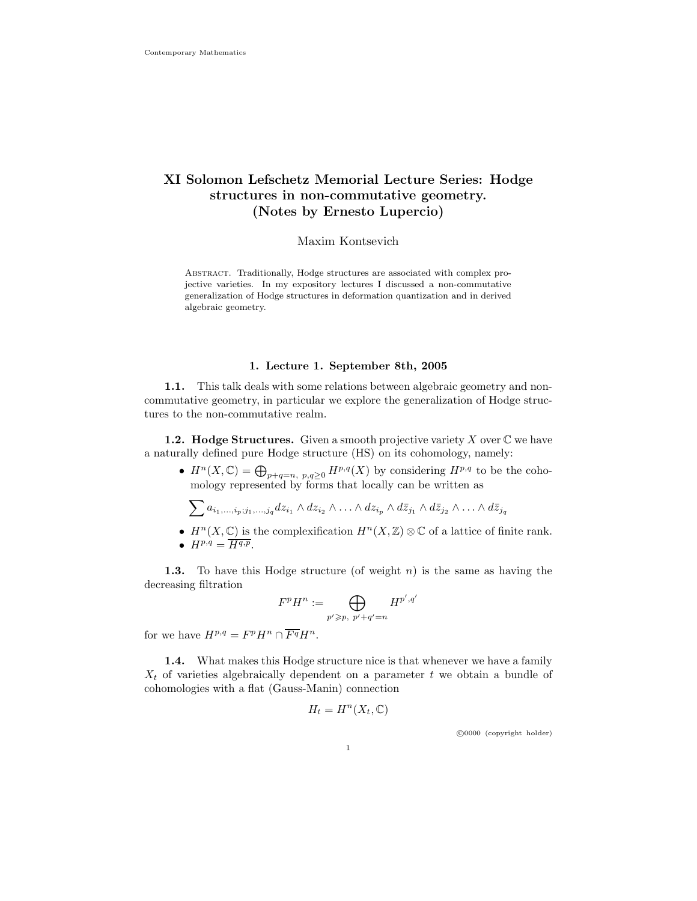# XI Solomon Lefschetz Memorial Lecture Series: Hodge structures in non-commutative geometry. (Notes by Ernesto Lupercio)

# Maxim Kontsevich

Abstract. Traditionally, Hodge structures are associated with complex projective varieties. In my expository lectures I discussed a non-commutative generalization of Hodge structures in deformation quantization and in derived algebraic geometry.

### 1. Lecture 1. September 8th, 2005

1.1. This talk deals with some relations between algebraic geometry and noncommutative geometry, in particular we explore the generalization of Hodge structures to the non-commutative realm.

**1.2. Hodge Structures.** Given a smooth projective variety X over  $\mathbb C$  we have a naturally defined pure Hodge structure (HS) on its cohomology, namely:

•  $H^n(X, \mathbb{C}) = \bigoplus_{p+q=n, p,q \geq 0} H^{p,q}(X)$  by considering  $H^{p,q}$  to be the cohomology represented by forms that locally can be written as

$$
\sum a_{i_1,\dots,i_p;j_1,\dots,j_q} dz_{i_1} \wedge dz_{i_2} \wedge \dots \wedge dz_{i_p} \wedge d\overline{z}_{j_1} \wedge d\overline{z}_{j_2} \wedge \dots \wedge d\overline{z}_{j_q}
$$

- $H^n(X, \mathbb{C})$  is the complexification  $H^n(X, \mathbb{Z}) \otimes \mathbb{C}$  of a lattice of finite rank.
- $H^{p,q} = \overline{H^{q,p}}$ .

**1.3.** To have this Hodge structure (of weight n) is the same as having the decreasing filtration

$$
F^p H^n := \bigoplus_{p' \geqslant p, \ p'+q'=n} H^{p',q'}
$$

for we have  $H^{p,q} = F^p H^n \cap \overline{F^q} H^n$ .

1.4. What makes this Hodge structure nice is that whenever we have a family  $X_t$  of varieties algebraically dependent on a parameter t we obtain a bundle of cohomologies with a flat (Gauss-Manin) connection

$$
H_t = H^n(X_t, \mathbb{C})
$$

c 0000 (copyright holder)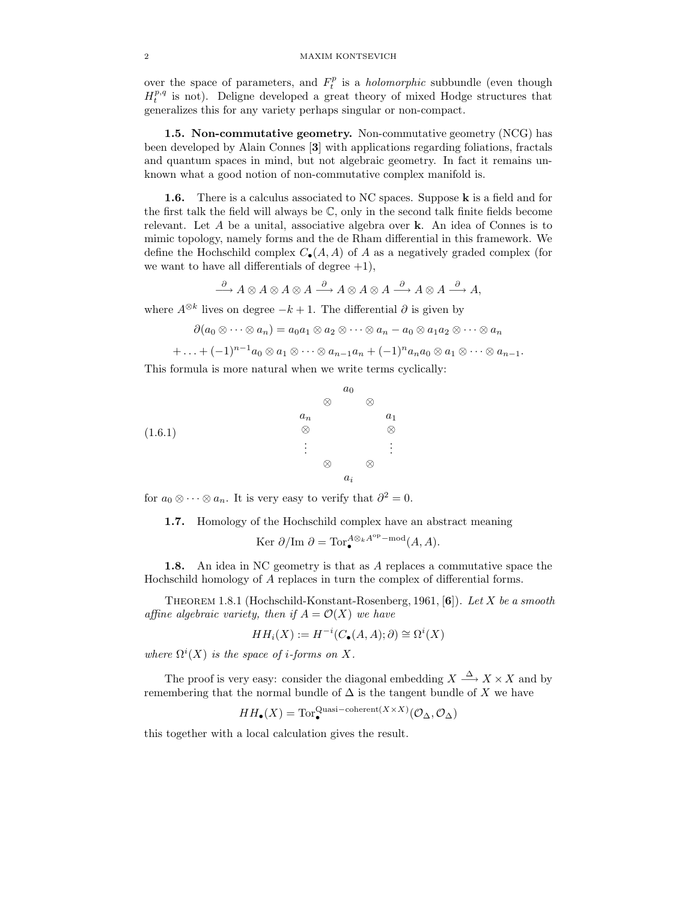over the space of parameters, and  $F_t^p$  is a *holomorphic* subbundle (even though  $H_t^{p,q}$  is not). Deligne developed a great theory of mixed Hodge structures that generalizes this for any variety perhaps singular or non-compact.

1.5. Non-commutative geometry. Non-commutative geometry (NCG) has been developed by Alain Connes [3] with applications regarding foliations, fractals and quantum spaces in mind, but not algebraic geometry. In fact it remains unknown what a good notion of non-commutative complex manifold is.

**1.6.** There is a calculus associated to NC spaces. Suppose **k** is a field and for the first talk the field will always be  $\mathbb{C}$ , only in the second talk finite fields become relevant. Let A be a unital, associative algebra over k. An idea of Connes is to mimic topology, namely forms and the de Rham differential in this framework. We define the Hochschild complex  $C_{\bullet}(A, A)$  of A as a negatively graded complex (for we want to have all differentials of degree  $+1$ ),

$$
\xrightarrow{\partial} A \otimes A \otimes A \otimes A \xrightarrow{\partial} A \otimes A \otimes A \xrightarrow{\partial} A \otimes A \xrightarrow{\partial} A,
$$

where  $A^{\otimes k}$  lives on degree  $-k+1$ . The differential  $\partial$  is given by

$$
\partial(a_0\otimes\cdots\otimes a_n)=a_0a_1\otimes a_2\otimes\cdots\otimes a_n-a_0\otimes a_1a_2\otimes\cdots\otimes a_n
$$

$$
+ \ldots + (-1)^{n-1} a_0 \otimes a_1 \otimes \cdots \otimes a_{n-1} a_n + (-1)^n a_n a_0 \otimes a_1 \otimes \cdots \otimes a_{n-1}.
$$

This formula is more natural when we write terms cyclically:



for  $a_0 \otimes \cdots \otimes a_n$ . It is very easy to verify that  $\partial^2 = 0$ .

1.7. Homology of the Hochschild complex have an abstract meaning

$$
\text{Ker }\partial/\text{Im }\partial = \text{Tor}^{A\otimes_kA^\text{op}-\text{mod}}_{\bullet}(A,A).
$$

1.8. An idea in NC geometry is that as A replaces a commutative space the Hochschild homology of A replaces in turn the complex of differential forms.

THEOREM 1.8.1 (Hochschild-Konstant-Rosenberg, 1961, [6]). Let X be a smooth affine algebraic variety, then if  $A = \mathcal{O}(X)$  we have

$$
HH_i(X) := H^{-i}(C_{\bullet}(A, A); \partial) \cong \Omega^i(X)
$$

where  $\Omega^{i}(X)$  is the space of *i*-forms on X.

The proof is very easy: consider the diagonal embedding  $X \xrightarrow{\Delta} X \times X$  and by remembering that the normal bundle of  $\Delta$  is the tangent bundle of X we have

$$
HH_{\bullet}(X) = \text{Tor}_{\bullet}^{\text{Quasi-coherent}(X \times X)}(\mathcal{O}_{\Delta}, \mathcal{O}_{\Delta})
$$

this together with a local calculation gives the result.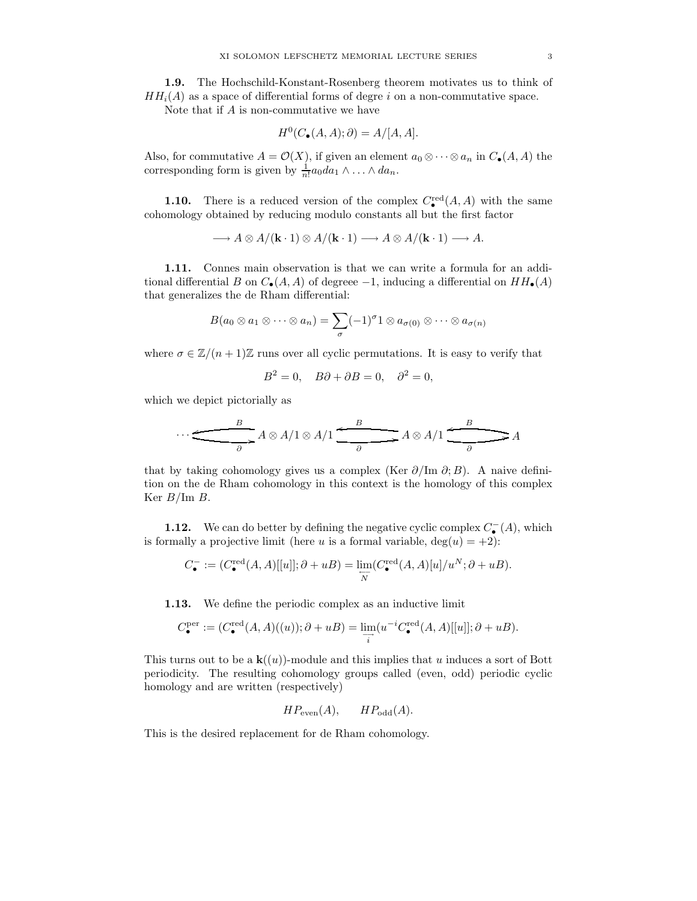1.9. The Hochschild-Konstant-Rosenberg theorem motivates us to think of  $HH<sub>i</sub>(A)$  as a space of differential forms of degre i on a non-commutative space.

Note that if A is non-commutative we have

$$
H^0(C_{\bullet}(A, A); \partial) = A/[A, A].
$$

Also, for commutative  $A = \mathcal{O}(X)$ , if given an element  $a_0 \otimes \cdots \otimes a_n$  in  $C_{\bullet}(A, A)$  the corresponding form is given by  $\frac{1}{n!}a_0 da_1 \wedge \ldots \wedge da_n$ .

**1.10.** There is a reduced version of the complex  $C_{\bullet}^{\text{red}}(A, A)$  with the same cohomology obtained by reducing modulo constants all but the first factor

 $\longrightarrow A \otimes A/(\mathbf{k} \cdot 1) \otimes A/(\mathbf{k} \cdot 1) \longrightarrow A \otimes A/(\mathbf{k} \cdot 1) \longrightarrow A.$ 

1.11. Connes main observation is that we can write a formula for an additional differential B on  $C_{\bullet}(A, A)$  of degreee -1, inducing a differential on  $HH_{\bullet}(A)$ that generalizes the de Rham differential:

$$
B(a_0\otimes a_1\otimes\cdots\otimes a_n)=\sum_{\sigma}(-1)^{\sigma}1\otimes a_{\sigma(0)}\otimes\cdots\otimes a_{\sigma(n)}
$$

where  $\sigma \in \mathbb{Z}/(n+1)\mathbb{Z}$  runs over all cyclic permutations. It is easy to verify that

$$
B^2 = 0, \quad B\partial + \partial B = 0, \quad \partial^2 = 0,
$$

which we depict pictorially as

$$
\cdots \xrightarrow{\qquad B \qquad \qquad } A \otimes A/1 \otimes A/1 \xrightarrow{\qquad B \qquad \qquad } A \otimes A/1 \xrightarrow{\qquad B \qquad \qquad } A
$$

that by taking cohomology gives us a complex (Ker  $\partial/\text{Im }\partial$ ; B). A naive definition on the de Rham cohomology in this context is the homology of this complex Ker  $B/\text{Im } B$ .

**1.12.** We can do better by defining the negative cyclic complex  $C_{\bullet}^{-}(A)$ , which is formally a projective limit (here u is a formal variable,  $deg(u) = +2$ ):

$$
C_{\bullet}^-:=\big(C_{\bullet}^{\text{red}}(A,A)[[u]]; \partial+uB\big)=\varinjlim_{\overleftarrow{N}}(C_{\bullet}^{\text{red}}(A,A)[u]/u^N; \partial+uB).
$$

1.13. We define the periodic complex as an inductive limit

$$
C_{\bullet}^{\text{per}} := (C_{\bullet}^{\text{red}}(A, A)((u)); \partial + uB) = \varinjlim_{i} (u^{-i} C_{\bullet}^{\text{red}}(A, A)[[u]]; \partial + uB).
$$

This turns out to be a  $\mathbf{k}((u))$ -module and this implies that u induces a sort of Bott periodicity. The resulting cohomology groups called (even, odd) periodic cyclic homology and are written (respectively)

$$
HP_{\text{even}}(A), \qquad HP_{\text{odd}}(A).
$$

This is the desired replacement for de Rham cohomology.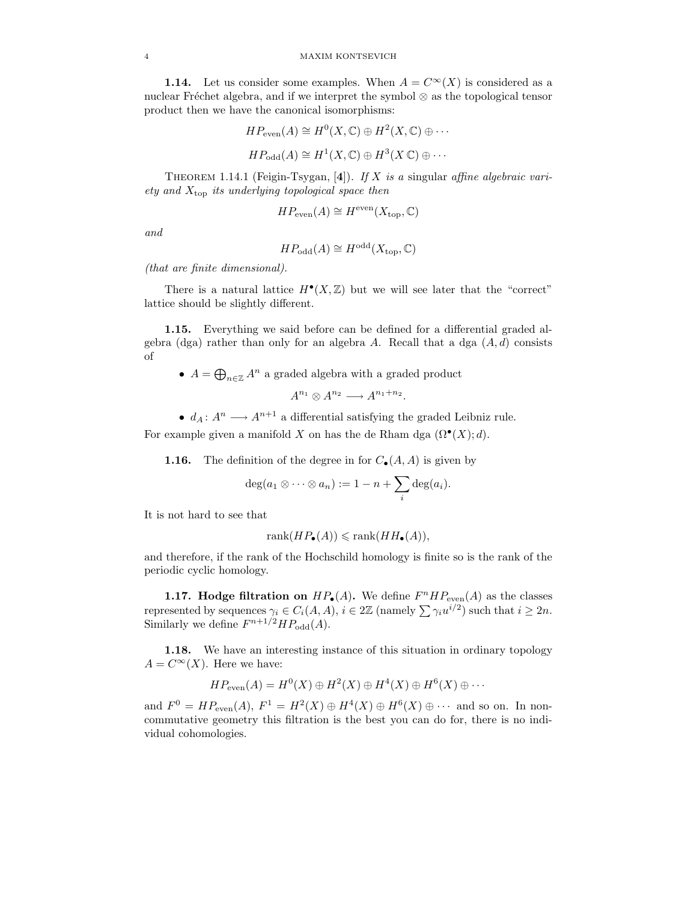**1.14.** Let us consider some examples. When  $A = C^{\infty}(X)$  is considered as a nuclear Fréchet algebra, and if we interpret the symbol  $\otimes$  as the topological tensor product then we have the canonical isomorphisms:

$$
HP_{\text{even}}(A) \cong H^0(X, \mathbb{C}) \oplus H^2(X, \mathbb{C}) \oplus \cdots
$$
  

$$
HP_{\text{odd}}(A) \cong H^1(X, \mathbb{C}) \oplus H^3(X \mathbb{C}) \oplus \cdots
$$

THEOREM 1.14.1 (Feigin-Tsygan, [4]). If X is a singular affine algebraic variety and  $X_{\text{top}}$  its underlying topological space then

$$
HP_{\text{even}}(A) \cong H^{\text{even}}(X_{\text{top}}, \mathbb{C})
$$

and

$$
HP_{\text{odd}}(A) \cong H^{\text{odd}}(X_{\text{top}}, \mathbb{C})
$$

(that are finite dimensional).

There is a natural lattice  $H^{\bullet}(X,\mathbb{Z})$  but we will see later that the "correct" lattice should be slightly different.

1.15. Everything we said before can be defined for a differential graded algebra (dga) rather than only for an algebra A. Recall that a dga  $(A, d)$  consists of

•  $A = \bigoplus_{n \in \mathbb{Z}} A^n$  a graded algebra with a graded product

$$
A^{n_1} \otimes A^{n_2} \longrightarrow A^{n_1+n_2}.
$$

•  $d_A: A^n \longrightarrow A^{n+1}$  a differential satisfying the graded Leibniz rule. For example given a manifold X on has the de Rham dga  $(\Omega^{\bullet}(X); d)$ .

**1.16.** The definition of the degree in for  $C_{\bullet}(A, A)$  is given by

$$
\deg(a_1\otimes\cdots\otimes a_n):=1-n+\sum_i\deg(a_i).
$$

It is not hard to see that

$$
rank(HP_{\bullet}(A)) \leqslant rank(HH_{\bullet}(A)),
$$

and therefore, if the rank of the Hochschild homology is finite so is the rank of the periodic cyclic homology.

**1.17. Hodge filtration on**  $HP_{\bullet}(A)$ . We define  $F^{n}HP_{\text{even}}(A)$  as the classes represented by sequences  $\gamma_i \in C_i(A, A), i \in 2\mathbb{Z}$  (namely  $\sum \gamma_i u^{i/2}$ ) such that  $i \geq 2n$ . Similarly we define  $F^{n+1/2}HP_{odd}(A)$ .

1.18. We have an interesting instance of this situation in ordinary topology  $A = C^{\infty}(X)$ . Here we have:

$$
HP_{\text{even}}(A) = H^0(X) \oplus H^2(X) \oplus H^4(X) \oplus H^6(X) \oplus \cdots
$$

and  $F^0 = HP_{even}(A), F^1 = H^2(X) \oplus H^4(X) \oplus H^6(X) \oplus \cdots$  and so on. In noncommutative geometry this filtration is the best you can do for, there is no individual cohomologies.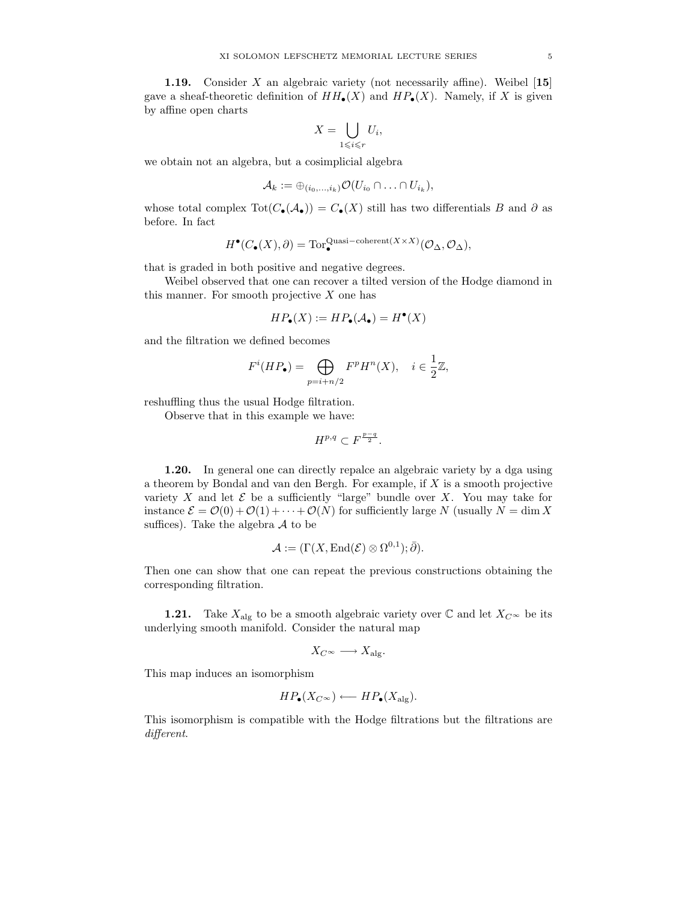**1.19.** Consider X an algebraic variety (not necessarily affine). Weibel  $[15]$ gave a sheaf-theoretic definition of  $HH_{\bullet}(X)$  and  $HP_{\bullet}(X)$ . Namely, if X is given by affine open charts

$$
X = \bigcup_{1 \leq i \leq r} U_i,
$$

we obtain not an algebra, but a cosimplicial algebra

$$
\mathcal{A}_k := \oplus_{(i_0,\ldots,i_k)} \mathcal{O}(U_{i_0} \cap \ldots \cap U_{i_k}),
$$

whose total complex  $\text{Tot}(C_{\bullet}(\mathcal{A}_{\bullet})) = C_{\bullet}(X)$  still has two differentials B and  $\partial$  as before. In fact

$$
H^{\bullet}(C_{\bullet}(X),\partial) = \text{Tor}_{\bullet}^{\text{Quasi-coherent}(X \times X)}(\mathcal{O}_{\Delta}, \mathcal{O}_{\Delta}),
$$

that is graded in both positive and negative degrees.

Weibel observed that one can recover a tilted version of the Hodge diamond in this manner. For smooth projective  $X$  one has

$$
HP_{\bullet}(X) := HP_{\bullet}(\mathcal{A}_{\bullet}) = H^{\bullet}(X)
$$

and the filtration we defined becomes

$$
F^{i}(HP_{\bullet}) = \bigoplus_{p=i+n/2} F^{p}H^{n}(X), \quad i \in \frac{1}{2}\mathbb{Z},
$$

reshuffling thus the usual Hodge filtration.

Observe that in this example we have:

$$
H^{p,q} \subset F^{\frac{p-q}{2}}.
$$

1.20. In general one can directly repalce an algebraic variety by a dga using a theorem by Bondal and van den Bergh. For example, if X is a smooth projective variety X and let  $\mathcal E$  be a sufficiently "large" bundle over X. You may take for instance  $\mathcal{E} = \mathcal{O}(0) + \mathcal{O}(1) + \cdots + \mathcal{O}(N)$  for sufficiently large N (usually  $N = \dim X$ suffices). Take the algebra  $A$  to be

$$
\mathcal{A} := (\Gamma(X,\mathrm{End}(\mathcal{E}) \otimes \Omega^{0,1});\bar{\partial}).
$$

Then one can show that one can repeat the previous constructions obtaining the corresponding filtration.

**1.21.** Take  $X_{\text{alg}}$  to be a smooth algebraic variety over  $\mathbb{C}$  and let  $X_{C^{\infty}}$  be its underlying smooth manifold. Consider the natural map

$$
X_{C^{\infty}} \longrightarrow X_{\text{alg}}.
$$

This map induces an isomorphism

$$
HP_{\bullet}(X_{C^{\infty}}) \longleftarrow HP_{\bullet}(X_{\text{alg}}).
$$

This isomorphism is compatible with the Hodge filtrations but the filtrations are different.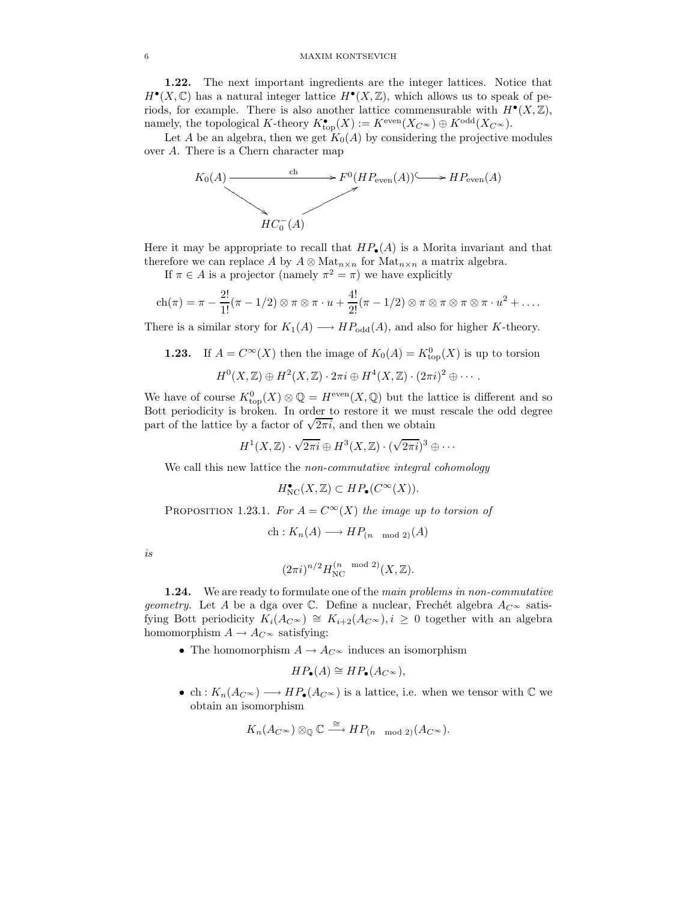1.22. The next important ingredients are the integer lattices. Notice that  $H^{\bullet}(X,\mathbb{C})$  has a natural integer lattice  $H^{\bullet}(X,\mathbb{Z})$ , which allows us to speak of periods, for example. There is also another lattice commensurable with  $H^{\bullet}(X,\mathbb{Z})$ , namely, the topological K-theory  $K^{\bullet}_{\text{top}}(X) := K^{\text{even}}(X_{C^{\infty}}) \oplus K^{\text{odd}}(X_{C^{\infty}})$ .

Let A be an algebra, then we get  $K_0(A)$  by considering the projective modules over A. There is a Chern character map



Here it may be appropriate to recall that  $HP_{\bullet}(A)$  is a Morita invariant and that therefore we can replace A by  $A \otimes Mat_{n \times n}$  for  $Mat_{n \times n}$  a matrix algebra.

If  $\pi \in A$  is a projector (namely  $\pi^2 = \pi$ ) we have explicitly

$$
ch(\pi) = \pi - \frac{2!}{1!}(\pi - 1/2) \otimes \pi \otimes \pi \cdot u + \frac{4!}{2!}(\pi - 1/2) \otimes \pi \otimes \pi \otimes \pi \otimes \pi \cdot u^{2} + \dots
$$

There is a similar story for  $K_1(A) \longrightarrow HP_{\text{odd}}(A)$ , and also for higher K-theory.

**1.23.** If 
$$
A = C^{\infty}(X)
$$
 then the image of  $K_0(A) = K_{\text{top}}^0(X)$  is up to torsion  

$$
H^0(X, \mathbb{Z}) \oplus H^2(X, \mathbb{Z}) \cdot 2\pi i \oplus H^4(X, \mathbb{Z}) \cdot (2\pi i)^2 \oplus \cdots.
$$

We have of course  $K^0_{\text{top}}(X) \otimes \mathbb{Q} = H^{\text{even}}(X, \mathbb{Q})$  but the lattice is different and so Bott periodicity is broken. In order to restore it we must rescale the odd degree part of the lattice by a factor of  $\sqrt{2\pi i}$ , and then we obtain

$$
H^1(X,\mathbb{Z})\cdot\sqrt{2\pi i}\oplus H^3(X,\mathbb{Z})\cdot(\sqrt{2\pi i})^3\oplus\cdots
$$

We call this new lattice the *non-commutative integral cohomology* 

$$
H_{\mathrm{NC}}^{\bullet}(X,\mathbb{Z}) \subset HP_{\bullet}(C^{\infty}(X)).
$$

PROPOSITION 1.23.1. For  $A = C^{\infty}(X)$  the image up to torsion of

$$
ch: K_n(A) \longrightarrow HP_{(n \mod 2)}(A)
$$

is

$$
(2\pi i)^{n/2} H_{\mathrm{NC}}^{(n \mod 2)}(X, \mathbb{Z}).
$$

1.24. We are ready to formulate one of the main problems in non-commutative geometry. Let A be a dga over C. Define a nuclear, Frechét algebra  $A_C \sim$  satisfying Bott periodicity  $K_i(A_{C^{\infty}}) \cong K_{i+2}(A_{C^{\infty}}), i \geq 0$  together with an algebra homomorphism  $A \to A_{C^{\infty}}$  satisfying:

• The homomorphism  $A \to A_{C^{\infty}}$  induces an isomorphism

$$
HP_{\bullet}(A) \cong HP_{\bullet}(A_{C^{\infty}}),
$$

• ch :  $K_n(A_{C^{\infty}}) \longrightarrow HP_{\bullet}(A_{C^{\infty}})$  is a lattice, i.e. when we tensor with  $\mathbb C$  we obtain an isomorphism

$$
K_n(A_C \otimes) \otimes_{\mathbb{Q}} \mathbb{C} \xrightarrow{\cong} HP_{(n \mod 2)}(A_C \otimes).
$$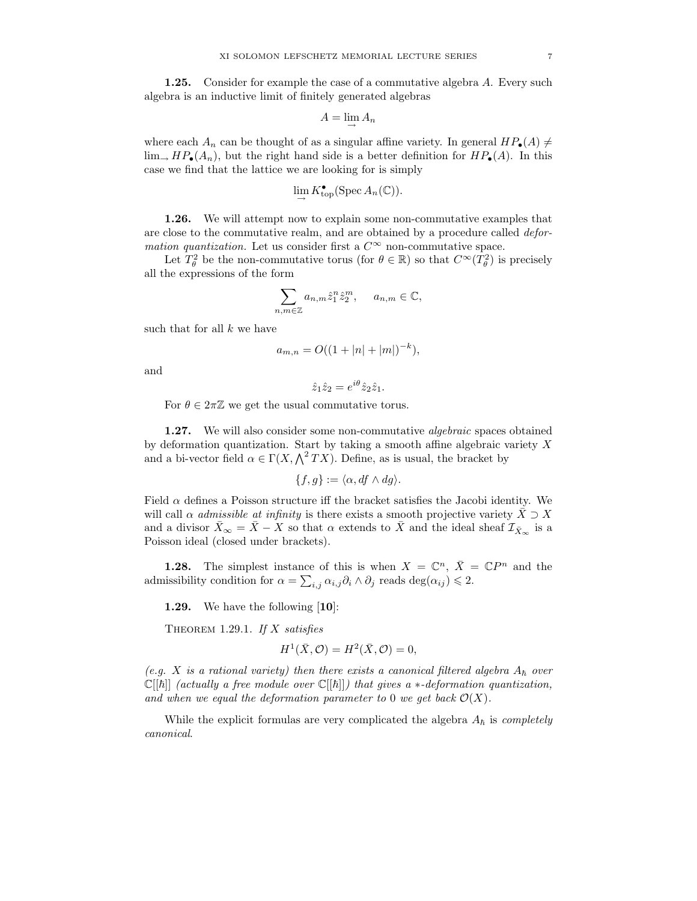1.25. Consider for example the case of a commutative algebra A. Every such algebra is an inductive limit of finitely generated algebras

$$
A=\lim_{\rightarrow} A_n
$$

where each  $A_n$  can be thought of as a singular affine variety. In general  $HP_{\bullet}(A) \neq$  $\lim_{\rightarrow} HP_{\bullet}(A_n)$ , but the right hand side is a better definition for  $HP_{\bullet}(A)$ . In this case we find that the lattice we are looking for is simply

$$
\lim_{\longrightarrow} K_{\operatorname{top}}^{\bullet}(\operatorname{Spec} A_n(\mathbb{C})).
$$

1.26. We will attempt now to explain some non-commutative examples that are close to the commutative realm, and are obtained by a procedure called deformation quantization. Let us consider first a  $C^{\infty}$  non-commutative space.

Let  $T_{\theta}^2$  be the non-commutative torus (for  $\theta \in \mathbb{R}$ ) so that  $C^{\infty}(T_{\theta}^2)$  is precisely all the expressions of the form

$$
\sum_{n,m\in\mathbb{Z}} a_{n,m} \hat{z}_1^n \hat{z}_2^m, \quad a_{n,m}\in\mathbb{C},
$$

such that for all  $k$  we have

$$
a_{m,n} = O((1+|n|+|m|)^{-k}),
$$

and

$$
\hat{z}_1 \hat{z}_2 = e^{i\theta} \hat{z}_2 \hat{z}_1.
$$

For  $\theta \in 2\pi\mathbb{Z}$  we get the usual commutative torus.

1.27. We will also consider some non-commutative *algebraic* spaces obtained by deformation quantization. Start by taking a smooth affine algebraic variety  $X$ and a bi-vector field  $\alpha \in \Gamma(X, \bigwedge^2 TX)$ . Define, as is usual, the bracket by

$$
\{f,g\}:=\langle \alpha, df \wedge dg \rangle.
$$

Field  $\alpha$  defines a Poisson structure iff the bracket satisfies the Jacobi identity. We will call  $\alpha$  admissible at infinity is there exists a smooth projective variety  $\overline{X} \supset \overline{X}$ and a divisor  $\bar{X}_{\infty} = \bar{X} - X$  so that  $\alpha$  extends to  $\bar{X}$  and the ideal sheaf  $\mathcal{I}_{\bar{X}_{\infty}}$  is a Poisson ideal (closed under brackets).

**1.28.** The simplest instance of this is when  $X = \mathbb{C}^n$ ,  $\bar{X} = \mathbb{C}P^n$  and the admissibility condition for  $\alpha = \sum_{i,j} \alpha_{i,j} \partial_i \wedge \partial_j$  reads  $\deg(\alpha_{ij}) \leq 2$ .

1.29. We have the following [10]:

THEOREM 1.29.1. If  $X$  satisfies

$$
H^1(\bar{X}, \mathcal{O}) = H^2(\bar{X}, \mathcal{O}) = 0,
$$

(e.g. X is a rational variety) then there exists a canonical filtered algebra  $A_{\hbar}$  over  $\mathbb{C}[[\hbar]]$  (actually a free module over  $\mathbb{C}[[\hbar]]$ ) that gives a  $*$ -deformation quantization, and when we equal the deformation parameter to 0 we get back  $\mathcal{O}(X)$ .

While the explicit formulas are very complicated the algebra  $A_{\hbar}$  is *completely* canonical.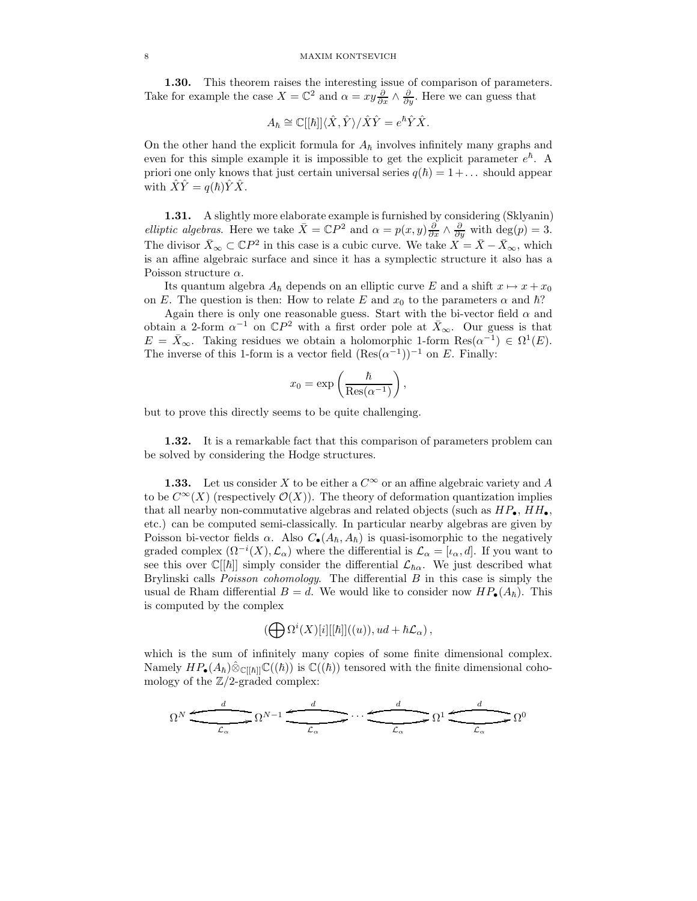#### 8 MAXIM KONTSEVICH

1.30. This theorem raises the interesting issue of comparison of parameters. Take for example the case  $X = \mathbb{C}^2$  and  $\alpha = xy\frac{\partial}{\partial x} \wedge \frac{\partial}{\partial y}$ . Here we can guess that

$$
A_{\hbar} \cong \mathbb{C}[[\hbar]]\langle \hat{X}, \hat{Y} \rangle / \hat{X}\hat{Y} = e^{\hbar} \hat{Y} \hat{X}.
$$

On the other hand the explicit formula for  $A_h$  involves infinitely many graphs and even for this simple example it is impossible to get the explicit parameter  $e^{\hbar}$ . A priori one only knows that just certain universal series  $q(\hbar) = 1 + \dots$  should appear with  $\hat{X}\hat{Y} = q(\hbar)\hat{Y}\hat{X}$ .

1.31. A slightly more elaborate example is furnished by considering (Sklyanin) *elliptic algebras.* Here we take  $\bar{X} = \mathbb{C}P^2$  and  $\alpha = p(x, y) \frac{\partial}{\partial x} \wedge \frac{\partial}{\partial y}$  with  $\deg(p) = 3$ . The divisor  $\bar{X}_{\infty} \subset \mathbb{C}P^2$  in this case is a cubic curve. We take  $X = \bar{X} - \bar{X}_{\infty}$ , which is an affine algebraic surface and since it has a symplectic structure it also has a Poisson structure  $\alpha$ .

Its quantum algebra  $A_{\hbar}$  depends on an elliptic curve  $E$  and a shift  $x \mapsto x + x_0$ on E. The question is then: How to relate E and  $x_0$  to the parameters  $\alpha$  and  $\hbar$ ?

Again there is only one reasonable guess. Start with the bi-vector field  $\alpha$  and obtain a 2-form  $\alpha^{-1}$  on  $\mathbb{C}P^2$  with a first order pole at  $\bar{X}_{\infty}$ . Our guess is that  $E = \bar{X}_{\infty}$ . Taking residues we obtain a holomorphic 1-form  $\text{Res}(\alpha^{-1}) \in \Omega^1(E)$ . The inverse of this 1-form is a vector field  $(Res(\alpha^{-1}))^{-1}$  on E. Finally:

$$
x_0 = \exp\left(\frac{\hbar}{\text{Res}(\alpha^{-1})}\right),\,
$$

but to prove this directly seems to be quite challenging.

1.32. It is a remarkable fact that this comparison of parameters problem can be solved by considering the Hodge structures.

**1.33.** Let us consider X to be either a  $C^{\infty}$  or an affine algebraic variety and A to be  $C^{\infty}(X)$  (respectively  $\mathcal{O}(X)$ ). The theory of deformation quantization implies that all nearby non-commutative algebras and related objects (such as  $HP_{\bullet}$ ,  $HH_{\bullet}$ , etc.) can be computed semi-classically. In particular nearby algebras are given by Poisson bi-vector fields  $\alpha$ . Also  $C_{\bullet}(A_{\hbar}, A_{\hbar})$  is quasi-isomorphic to the negatively graded complex  $(\Omega^{-i}(X), \mathcal{L}_{\alpha})$  where the differential is  $\mathcal{L}_{\alpha} = [\iota_{\alpha}, d]$ . If you want to see this over  $\mathbb{C}[[\hbar]]$  simply consider the differential  $\mathcal{L}_{\hbar\alpha}$ . We just described what Brylinski calls Poisson cohomology. The differential B in this case is simply the usual de Rham differential  $B = d$ . We would like to consider now  $HP_{\bullet}(A_{\hbar})$ . This is computed by the complex

$$
(\bigoplus \Omega^{i}(X)[i][[\hbar]]((u)), ud + \hbar \mathcal{L}_{\alpha}),
$$

which is the sum of infinitely many copies of some finite dimensional complex. Namely  $HP_{\bullet}(A_{\hbar})\hat{\otimes}_{\mathbb{C}[[\hbar]]}\mathbb{C}((\hbar))$  is  $\mathbb{C}((\hbar))$  tensored with the finite dimensional cohomology of the  $\mathbb{Z}/2$ -graded complex:

$$
\Omega^N \xrightarrow{\qquad d \qquad d \qquad \qquad d \qquad \qquad \qquad } \Omega^1 \xrightarrow{\qquad d \qquad d \qquad \qquad } \Omega^0
$$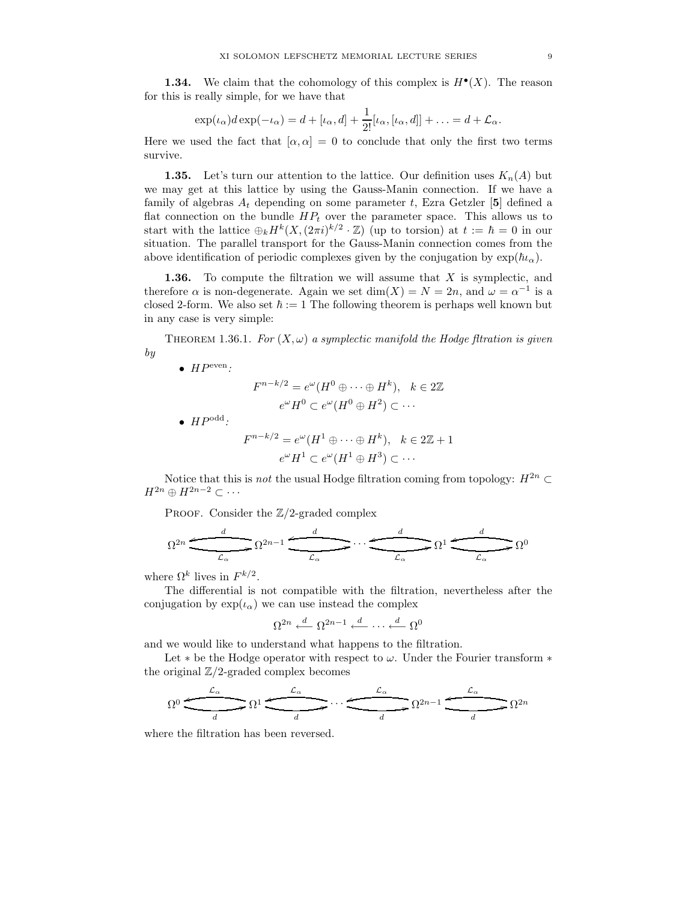**1.34.** We claim that the cohomology of this complex is  $H^{\bullet}(X)$ . The reason for this is really simple, for we have that

$$
\exp(\iota_{\alpha})d\exp(-\iota_{\alpha})=d+[\iota_{\alpha},d]+\frac{1}{2!}[\iota_{\alpha},[\iota_{\alpha},d]]+\ldots=d+\mathcal{L}_{\alpha}.
$$

Here we used the fact that  $[\alpha, \alpha] = 0$  to conclude that only the first two terms survive.

**1.35.** Let's turn our attention to the lattice. Our definition uses  $K_n(A)$  but we may get at this lattice by using the Gauss-Manin connection. If we have a family of algebras  $A_t$  depending on some parameter t, Ezra Getzler [5] defined a flat connection on the bundle  $HP_t$  over the parameter space. This allows us to start with the lattice  $\bigoplus_k H^k(X, (2\pi i)^{k/2} \cdot \mathbb{Z})$  (up to torsion) at  $t := \hbar = 0$  in our situation. The parallel transport for the Gauss-Manin connection comes from the above identification of periodic complexes given by the conjugation by  $\exp(\hbar\iota_{\alpha})$ .

**1.36.** To compute the filtration we will assume that  $X$  is symplectic, and therefore  $\alpha$  is non-degenerate. Again we set  $dim(X) = N = 2n$ , and  $\omega = \alpha^{-1}$  is a closed 2-form. We also set  $\hbar := 1$  The following theorem is perhaps well known but in any case is very simple:

THEOREM 1.36.1. For  $(X, \omega)$  a symplectic manifold the Hodge filtration is given by

•  $HP<sup>even</sup>$ :

$$
F^{n-k/2} = e^{\omega}(H^0 \oplus \cdots \oplus H^k), \quad k \in 2\mathbb{Z}
$$

$$
e^{\omega}H^0 \subset e^{\omega}(H^0 \oplus H^2) \subset \cdots
$$

 $\bullet$   $HP^{\text{odd}}$ :

$$
F^{n-k/2} = e^{\omega} (H^1 \oplus \cdots \oplus H^k), \quad k \in 2\mathbb{Z} + 1
$$

$$
e^{\omega} H^1 \subset e^{\omega} (H^1 \oplus H^3) \subset \cdots
$$

Notice that this is *not* the usual Hodge filtration coming from topology:  $H^{2n} \subset$  $H^{2n} \oplus H^{2n-2} \subset \cdots$ 

PROOF. Consider the  $\mathbb{Z}/2$ -graded complex

$$
\Omega^{2n} \xrightarrow{\qquad d \qquad \qquad d \qquad \qquad } \Omega^{2n-1} \xrightarrow{\qquad d \qquad \qquad d \qquad \qquad } \Omega^{1} \xrightarrow{\qquad d \qquad \qquad } \Omega^{0}
$$

where  $\Omega^k$  lives in  $F^{k/2}$ .

The differential is not compatible with the filtration, nevertheless after the conjugation by  $\exp(\iota_{\alpha})$  we can use instead the complex

$$
\Omega^{2n} \stackrel{d}{\longleftarrow} \Omega^{2n-1} \stackrel{d}{\longleftarrow} \cdots \stackrel{d}{\longleftarrow} \Omega^0
$$

and we would like to understand what happens to the filtration.

Let  $*$  be the Hodge operator with respect to  $\omega$ . Under the Fourier transform  $*$ the original  $\mathbb{Z}/2$ -graded complex becomes



where the filtration has been reversed.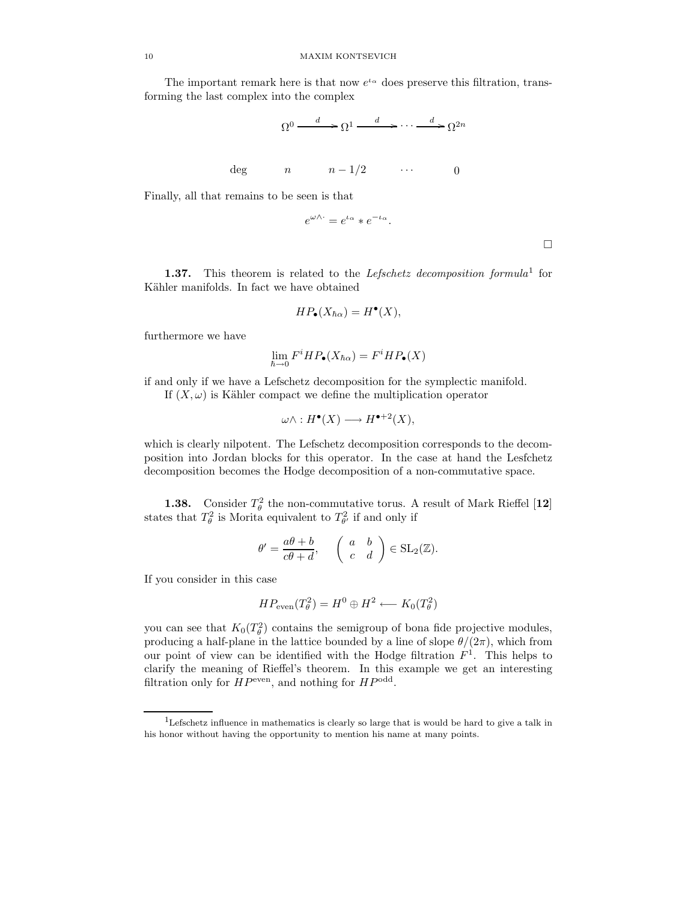The important remark here is that now  $e^{t_{\alpha}}$  does preserve this filtration, transforming the last complex into the complex

$$
\Omega^0 \xrightarrow{d} \Omega^1 \xrightarrow{d} \cdots \xrightarrow{d} \Omega^{2n}
$$
  
deg  $n \qquad n-1/2 \qquad \cdots \qquad 0$ 

Finally, all that remains to be seen is that

$$
e^{\omega \wedge \cdot} = e^{\iota_{\alpha}} * e^{-\iota_{\alpha}}.
$$

 $\Box$ 

**1.37.** This theorem is related to the Lefschetz decomposition formula<sup>1</sup> for Kähler manifolds. In fact we have obtained

$$
HP_{\bullet}(X_{\hbar\alpha}) = H^{\bullet}(X),
$$

furthermore we have

$$
\lim_{\hbar \to 0} F^i H P_{\bullet}(X_{\hbar \alpha}) = F^i H P_{\bullet}(X)
$$

if and only if we have a Lefschetz decomposition for the symplectic manifold. If  $(X, \omega)$  is Kähler compact we define the multiplication operator

$$
\omega \wedge : H^{\bullet}(X) \longrightarrow H^{\bullet+2}(X),
$$

which is clearly nilpotent. The Lefschetz decomposition corresponds to the decomposition into Jordan blocks for this operator. In the case at hand the Lesfchetz decomposition becomes the Hodge decomposition of a non-commutative space.

**1.38.** Consider  $T^2_\theta$  the non-commutative torus. A result of Mark Rieffel [12] states that  $T^2_\theta$  is Morita equivalent to  $T^2_{\theta'}$  if and only if

$$
\theta' = \frac{a\theta + b}{c\theta + d}, \quad \begin{pmatrix} a & b \\ c & d \end{pmatrix} \in SL_2(\mathbb{Z}).
$$

If you consider in this case

$$
HP_{\text{even}}(T_{\theta}^2) = H^0 \oplus H^2 \longleftarrow K_0(T_{\theta}^2)
$$

you can see that  $K_0(T_\theta^2)$  contains the semigroup of bona fide projective modules, producing a half-plane in the lattice bounded by a line of slope  $\theta/(2\pi)$ , which from our point of view can be identified with the Hodge filtration  $F<sup>1</sup>$ . This helps to clarify the meaning of Rieffel's theorem. In this example we get an interesting filtration only for  $HP<sup>even</sup>$ , and nothing for  $HP<sup>odd</sup>$ .

<sup>1</sup>Lefschetz influence in mathematics is clearly so large that is would be hard to give a talk in his honor without having the opportunity to mention his name at many points.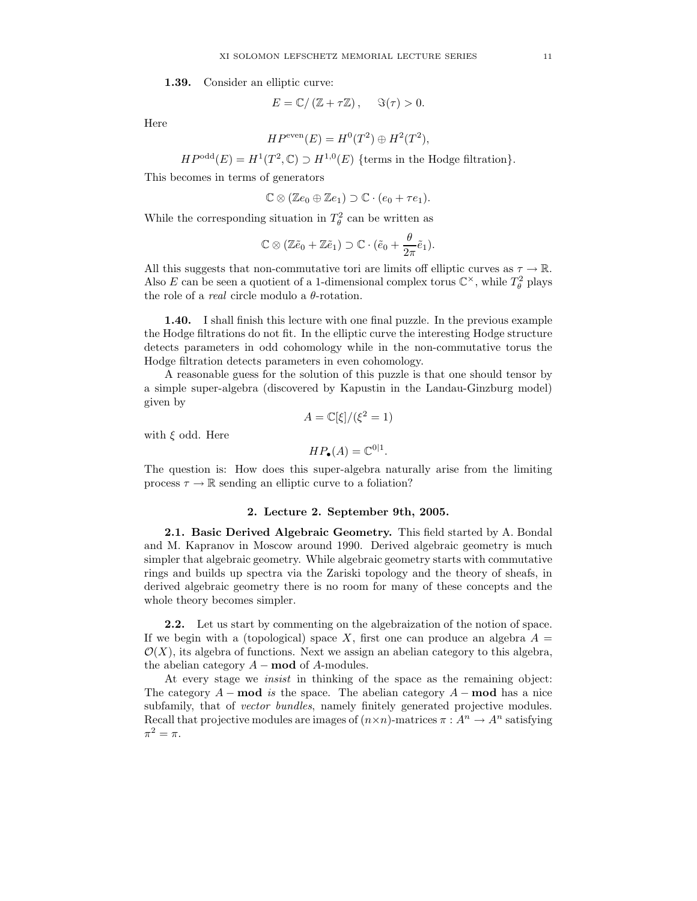1.39. Consider an elliptic curve:

$$
E = \mathbb{C}/(\mathbb{Z} + \tau \mathbb{Z}), \quad \Im(\tau) > 0.
$$

Here

$$
HP^{\text{even}}(E) = H^0(T^2) \oplus H^2(T^2),
$$

 $HP<sup>odd</sup>(E) = H<sup>1</sup>(T<sup>2</sup>, \mathbb{C}) \supset H<sup>1,0</sup>(E)$  {terms in the Hodge filtration}.

This becomes in terms of generators

$$
\mathbb{C}\otimes(\mathbb{Z}e_0\oplus\mathbb{Z}e_1)\supset\mathbb{C}\cdot(e_0+\tau e_1).
$$

While the corresponding situation in  $T^2_\theta$  can be written as

$$
\mathbb{C}\otimes(\mathbb{Z}\tilde{e}_0+\mathbb{Z}\tilde{e}_1)\supset\mathbb{C}\cdot(\tilde{e}_0+\frac{\theta}{2\pi}\tilde{e}_1).
$$

All this suggests that non-commutative tori are limits off elliptic curves as  $\tau \to \mathbb{R}$ . Also E can be seen a quotient of a 1-dimensional complex torus  $\mathbb{C}^{\times}$ , while  $T_{\theta}^2$  plays the role of a *real* circle modulo a  $\theta$ -rotation.

1.40. I shall finish this lecture with one final puzzle. In the previous example the Hodge filtrations do not fit. In the elliptic curve the interesting Hodge structure detects parameters in odd cohomology while in the non-commutative torus the Hodge filtration detects parameters in even cohomology.

A reasonable guess for the solution of this puzzle is that one should tensor by a simple super-algebra (discovered by Kapustin in the Landau-Ginzburg model) given by

$$
A = \mathbb{C}[\xi]/(\xi^2 = 1)
$$

with  $\xi$  odd. Here

$$
HP_{\bullet}(A) = \mathbb{C}^{0|1}.
$$

The question is: How does this super-algebra naturally arise from the limiting process  $\tau \to \mathbb{R}$  sending an elliptic curve to a foliation?

#### 2. Lecture 2. September 9th, 2005.

2.1. Basic Derived Algebraic Geometry. This field started by A. Bondal and M. Kapranov in Moscow around 1990. Derived algebraic geometry is much simpler that algebraic geometry. While algebraic geometry starts with commutative rings and builds up spectra via the Zariski topology and the theory of sheafs, in derived algebraic geometry there is no room for many of these concepts and the whole theory becomes simpler.

2.2. Let us start by commenting on the algebraization of the notion of space. If we begin with a (topological) space X, first one can produce an algebra  $A =$  $\mathcal{O}(X)$ , its algebra of functions. Next we assign an abelian category to this algebra, the abelian category  $A$  – **mod** of  $A$ -modules.

At every stage we insist in thinking of the space as the remaining object: The category  $A$  – mod is the space. The abelian category  $A$  – mod has a nice subfamily, that of *vector bundles*, namely finitely generated projective modules. Recall that projective modules are images of  $(n \times n)$ -matrices  $\pi : A^n \to A^n$  satisfying  $\pi^2 = \pi$ .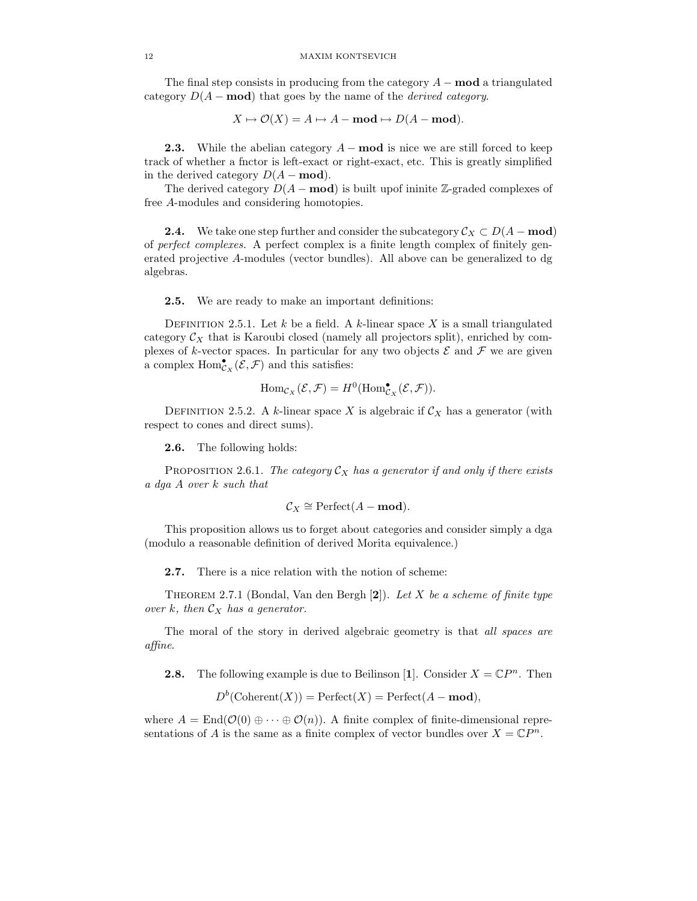The final step consists in producing from the category  $A - \text{mod}$  a triangulated category  $D(A - \text{mod})$  that goes by the name of the *derived category*.

 $X \mapsto \mathcal{O}(X) = A \mapsto A - \text{mod} \mapsto D(A - \text{mod}).$ 

**2.3.** While the abelian category  $A$  – **mod** is nice we are still forced to keep track of whether a fnctor is left-exact or right-exact, etc. This is greatly simplified in the derived category  $D(A - \text{mod})$ .

The derived category  $D(A - \text{mod})$  is built upof ininite Z-graded complexes of free A-modules and considering homotopies.

**2.4.** We take one step further and consider the subcategory  $\mathcal{C}_X \subset D(A - \textbf{mod})$ of perfect complexes. A perfect complex is a finite length complex of finitely generated projective A-modules (vector bundles). All above can be generalized to dg algebras.

2.5. We are ready to make an important definitions:

DEFINITION 2.5.1. Let k be a field. A k-linear space X is a small triangulated category  $C_X$  that is Karoubi closed (namely all projectors split), enriched by complexes of k-vector spaces. In particular for any two objects  $\mathcal E$  and  $\mathcal F$  we are given a complex  $\text{Hom}^{\bullet}_{\mathcal{C}_X}(\mathcal{E}, \mathcal{F})$  and this satisfies:

$$
\mathrm{Hom}_{\mathcal{C}_X}(\mathcal{E}, \mathcal{F}) = H^0(\mathrm{Hom}^{\bullet}_{\mathcal{C}_X}(\mathcal{E}, \mathcal{F})).
$$

DEFINITION 2.5.2. A k-linear space X is algebraic if  $\mathcal{C}_X$  has a generator (with respect to cones and direct sums).

2.6. The following holds:

PROPOSITION 2.6.1. The category  $\mathcal{C}_X$  has a generator if and only if there exists a dga A over k such that

$$
C_X \cong \text{Perfect}(A - \mathbf{mod}).
$$

This proposition allows us to forget about categories and consider simply a dga (modulo a reasonable definition of derived Morita equivalence.)

2.7. There is a nice relation with the notion of scheme:

THEOREM 2.7.1 (Bondal, Van den Bergh  $[2]$ ). Let X be a scheme of finite type over k, then  $\mathcal{C}_X$  has a generator.

The moral of the story in derived algebraic geometry is that all spaces are affine.

**2.8.** The following example is due to Beilinson [1]. Consider  $X = \mathbb{C}P^n$ . Then

 $D^b$ (Coherent(X)) = Perfect(X) = Perfect(A – **mod**),

where  $A = \text{End}(\mathcal{O}(0) \oplus \cdots \oplus \mathcal{O}(n))$ . A finite complex of finite-dimensional representations of A is the same as a finite complex of vector bundles over  $X = \mathbb{C}P^n$ .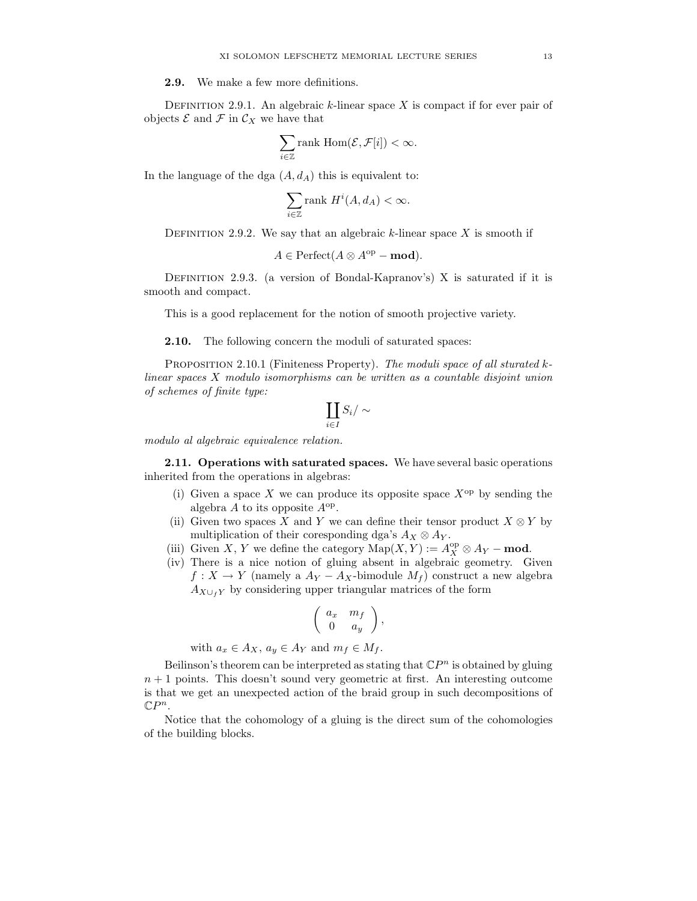2.9. We make a few more definitions.

DEFINITION 2.9.1. An algebraic  $k$ -linear space  $X$  is compact if for ever pair of objects  $\mathcal E$  and  $\mathcal F$  in  $\mathcal C_X$  we have that

$$
\sum_{i\in\mathbb{Z}}\text{rank Hom}(\mathcal{E},\mathcal{F}[i])<\infty.
$$

In the language of the dga  $(A, d<sub>A</sub>)$  this is equivalent to:

$$
\sum_{i \in \mathbb{Z}} \text{rank } H^i(A, d_A) < \infty.
$$

DEFINITION 2.9.2. We say that an algebraic k-linear space X is smooth if

$$
A \in \text{Perfect}(A \otimes A^{\text{op}} - \text{mod}).
$$

DEFINITION 2.9.3. (a version of Bondal-Kapranov's) X is saturated if it is smooth and compact.

This is a good replacement for the notion of smooth projective variety.

**2.10.** The following concern the moduli of saturated spaces:

PROPOSITION 2.10.1 (Finiteness Property). The moduli space of all sturated klinear spaces X modulo isomorphisms can be written as a countable disjoint union of schemes of finite type:

$$
\coprod_{i\in I}S_i/\sim
$$

modulo al algebraic equivalence relation.

2.11. Operations with saturated spaces. We have several basic operations inherited from the operations in algebras:

- (i) Given a space X we can produce its opposite space  $X^{\rm op}$  by sending the algebra  $A$  to its opposite  $A^{\rm op}$ .
- (ii) Given two spaces X and Y we can define their tensor product  $X \otimes Y$  by multiplication of their coresponding dga's  $A_X \otimes A_Y$ .
- (iii) Given X, Y we define the category  $\mathrm{Map}(X, Y) := A_X^{\mathrm{op}} \otimes A_Y \textbf{mod}$ .
- (iv) There is a nice notion of gluing absent in algebraic geometry. Given  $f: X \to Y$  (namely a  $A_Y - A_X$ -bimodule  $M_f$ ) construct a new algebra  $A_{X\cup_f Y}$  by considering upper triangular matrices of the form

$$
\left(\begin{array}{cc} a_x & m_f \\ 0 & a_y \end{array}\right),
$$

with  $a_x \in A_X$ ,  $a_y \in A_Y$  and  $m_f \in M_f$ .

Beilinson's theorem can be interpreted as stating that  $\mathbb{C}P^n$  is obtained by gluing  $n + 1$  points. This doesn't sound very geometric at first. An interesting outcome is that we get an unexpected action of the braid group in such decompositions of  $\mathbb{C}P^n$ .

Notice that the cohomology of a gluing is the direct sum of the cohomologies of the building blocks.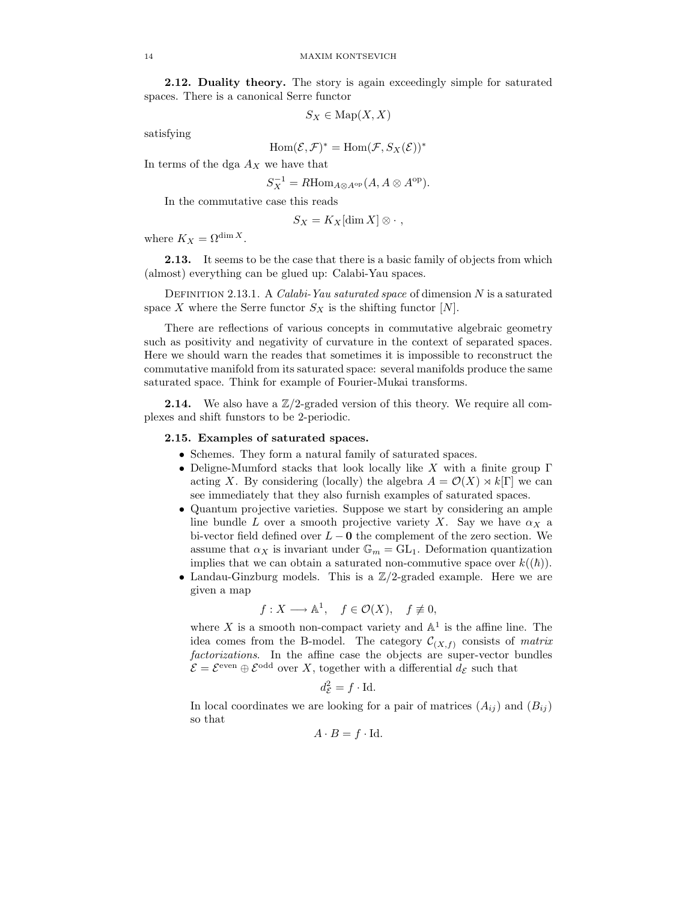2.12. Duality theory. The story is again exceedingly simple for saturated spaces. There is a canonical Serre functor

$$
S_X \in \operatorname{Map}(X,X)
$$

satisfying

$$
\operatorname{Hom}(\mathcal{E},\mathcal{F})^*=\operatorname{Hom}(\mathcal{F},S_X(\mathcal{E}))^*
$$

In terms of the dga  $A_X$  we have that

$$
S_X^{-1} = R \text{Hom}_{A \otimes A^{\text{op}}}(A, A \otimes A^{\text{op}}).
$$

In the commutative case this reads

$$
S_X = K_X[\dim X] \otimes \cdot ,
$$

where  $K_X = \Omega^{\dim X}$ .

**2.13.** It seems to be the case that there is a basic family of objects from which (almost) everything can be glued up: Calabi-Yau spaces.

DEFINITION 2.13.1. A Calabi-Yau saturated space of dimension  $N$  is a saturated space X where the Serre functor  $S_X$  is the shifting functor  $[N]$ .

There are reflections of various concepts in commutative algebraic geometry such as positivity and negativity of curvature in the context of separated spaces. Here we should warn the reades that sometimes it is impossible to reconstruct the commutative manifold from its saturated space: several manifolds produce the same saturated space. Think for example of Fourier-Mukai transforms.

**2.14.** We also have a  $\mathbb{Z}/2$ -graded version of this theory. We require all complexes and shift funstors to be 2-periodic.

# 2.15. Examples of saturated spaces.

- Schemes. They form a natural family of saturated spaces.
- Deligne-Mumford stacks that look locally like X with a finite group  $\Gamma$ acting X. By considering (locally) the algebra  $A = \mathcal{O}(X) \rtimes k[\Gamma]$  we can see immediately that they also furnish examples of saturated spaces.
- Quantum projective varieties. Suppose we start by considering an ample line bundle L over a smooth projective variety X. Say we have  $\alpha_X$  a bi-vector field defined over  $L - 0$  the complement of the zero section. We assume that  $\alpha_X$  is invariant under  $\mathbb{G}_m = GL_1$ . Deformation quantization implies that we can obtain a saturated non-commutive space over  $k((\hbar))$ .
- Landau-Ginzburg models. This is a  $\mathbb{Z}/2$ -graded example. Here we are given a map

$$
f: X \longrightarrow \mathbb{A}^1
$$
,  $f \in \mathcal{O}(X)$ ,  $f \not\equiv 0$ ,

where X is a smooth non-compact variety and  $\mathbb{A}^1$  is the affine line. The idea comes from the B-model. The category  $\mathcal{C}_{(X,f)}$  consists of matrix factorizations. In the affine case the objects are super-vector bundles  $\mathcal{E} = \mathcal{E}^{\text{even}} \oplus \mathcal{E}^{\text{odd}}$  over X, together with a differential  $d_{\mathcal{E}}$  such that

$$
d_{\mathcal{E}}^2 = f \cdot \mathrm{Id}.
$$

In local coordinates we are looking for a pair of matrices  $(A_{ij})$  and  $(B_{ij})$ so that

$$
A \cdot B = f \cdot \text{Id}.
$$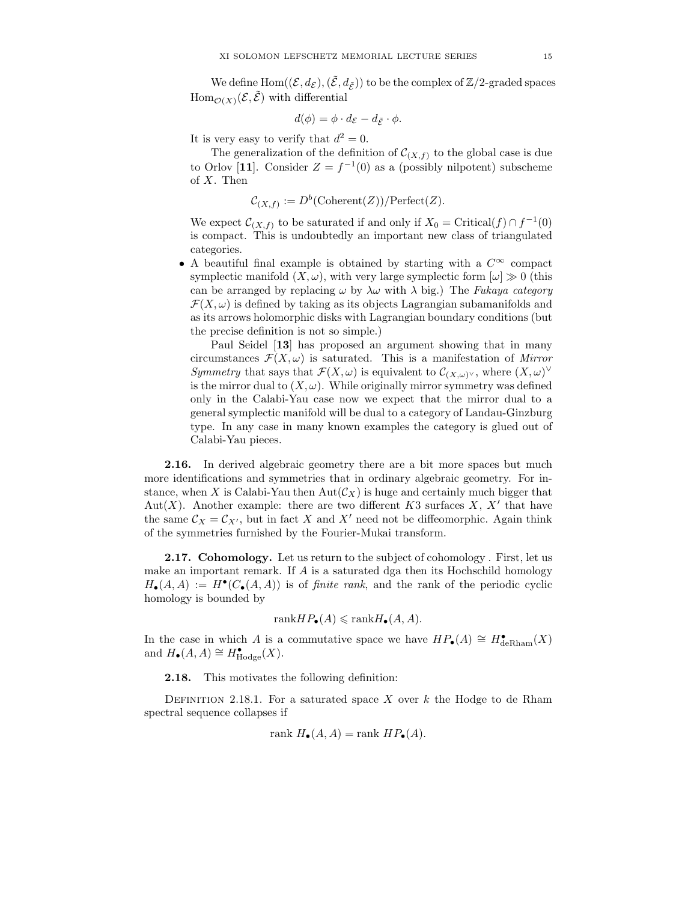We define  $\text{Hom}((\mathcal{E},d_{\mathcal{E}}),(\tilde{\mathcal{E}},d_{\tilde{\mathcal{F}}}))$  to be the complex of  $\mathbb{Z}/2$ -graded spaces  $\text{Hom}_{\mathcal{O}(X)}(\mathcal{E}, \tilde{\mathcal{E}})$  with differential

$$
d(\phi) = \phi \cdot d_{\mathcal{E}} - d_{\tilde{\mathcal{E}}} \cdot \phi.
$$

It is very easy to verify that  $d^2 = 0$ .

The generalization of the definition of  $\mathcal{C}_{(X,f)}$  to the global case is due to Orlov [11]. Consider  $Z = f^{-1}(0)$  as a (possibly nilpotent) subscheme of X. Then

$$
\mathcal{C}_{(X,f)} := D^b(\mathrm{Coherent}(Z))/\mathrm{Perfect}(Z).
$$

We expect  $\mathcal{C}_{(X,f)}$  to be saturated if and only if  $X_0 = \text{Critical}(f) \cap f^{-1}(0)$ is compact. This is undoubtedly an important new class of triangulated categories.

• A beautiful final example is obtained by starting with a  $C^{\infty}$  compact symplectic manifold  $(X, \omega)$ , with very large symplectic form  $[\omega] \gg 0$  (this can be arranged by replacing  $\omega$  by  $\lambda \omega$  with  $\lambda$  big.) The Fukaya category  $\mathcal{F}(X,\omega)$  is defined by taking as its objects Lagrangian subamanifolds and as its arrows holomorphic disks with Lagrangian boundary conditions (but the precise definition is not so simple.)

Paul Seidel [13] has proposed an argument showing that in many circumstances  $\mathcal{F}(X,\omega)$  is saturated. This is a manifestation of Mirror Symmetry that says that  $\mathcal{F}(X,\omega)$  is equivalent to  $\mathcal{C}_{(X,\omega)^{\vee}}$ , where  $(X,\omega)^{\vee}$ is the mirror dual to  $(X, \omega)$ . While originally mirror symmetry was defined only in the Calabi-Yau case now we expect that the mirror dual to a general symplectic manifold will be dual to a category of Landau-Ginzburg type. In any case in many known examples the category is glued out of Calabi-Yau pieces.

2.16. In derived algebraic geometry there are a bit more spaces but much more identifications and symmetries that in ordinary algebraic geometry. For instance, when X is Calabi-Yau then  $Aut(\mathcal{C}_X)$  is huge and certainly much bigger that Aut $(X)$ . Another example: there are two different K3 surfaces X, X' that have the same  $\mathcal{C}_X = \mathcal{C}_{X'}$ , but in fact X and X' need not be diffeomorphic. Again think of the symmetries furnished by the Fourier-Mukai transform.

2.17. Cohomology. Let us return to the subject of cohomology. First, let us make an important remark. If A is a saturated dga then its Hochschild homology  $H_{\bullet}(A, A) := H^{\bullet}(C_{\bullet}(A, A))$  is of *finite rank*, and the rank of the periodic cyclic homology is bounded by

$$
rank HP_{\bullet}(A) \leqslant rankH_{\bullet}(A, A).
$$

In the case in which A is a commutative space we have  $HP_{\bullet}(A) \cong H_{\text{deRham}}^{\bullet}(X)$ and  $H_{\bullet}(A, A) \cong H_{\text{Hodge}}^{\bullet}(X)$ .

2.18. This motivates the following definition:

DEFINITION 2.18.1. For a saturated space X over  $k$  the Hodge to de Rham spectral sequence collapses if

$$
rank H_{\bullet}(A, A) = rank HP_{\bullet}(A).
$$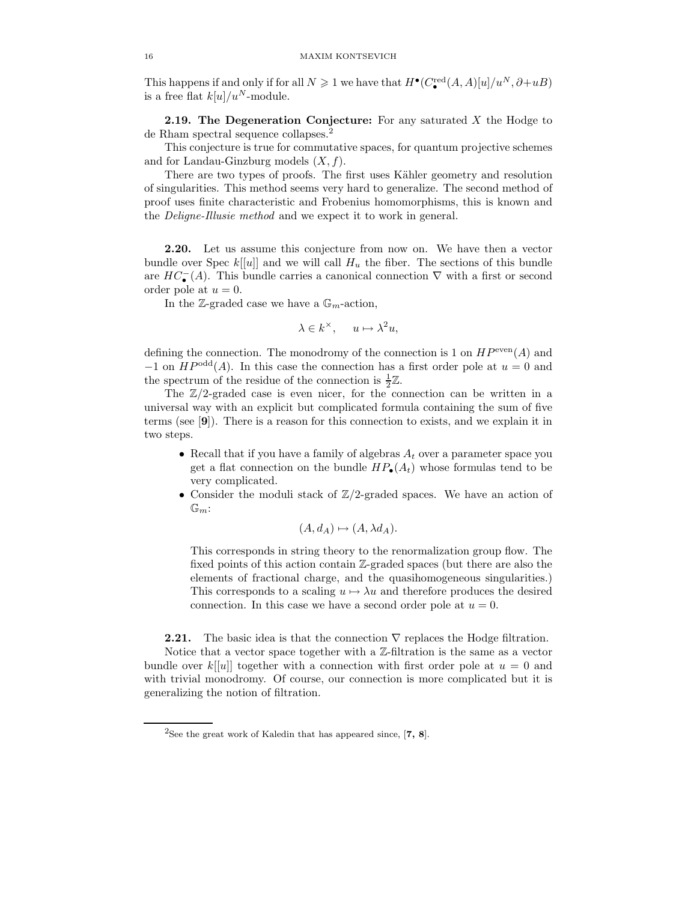This happens if and only if for all  $N \geq 1$  we have that  $H^{\bullet}(C_{\bullet}^{\text{red}}(A, A)[u]/u^N, \partial+uB)$ is a free flat  $k[u]/u^N$ -module.

**2.19. The Degeneration Conjecture:** For any saturated  $X$  the Hodge to de Rham spectral sequence collapses.<sup>2</sup>

This conjecture is true for commutative spaces, for quantum projective schemes and for Landau-Ginzburg models  $(X, f)$ .

There are two types of proofs. The first uses Kähler geometry and resolution of singularities. This method seems very hard to generalize. The second method of proof uses finite characteristic and Frobenius homomorphisms, this is known and the Deligne-Illusie method and we expect it to work in general.

2.20. Let us assume this conjecture from now on. We have then a vector bundle over Spec  $k[[u]]$  and we will call  $H_u$  the fiber. The sections of this bundle are  $HC_{\bullet}^{-}(A)$ . This bundle carries a canonical connection  $\nabla$  with a first or second order pole at  $u = 0$ .

In the Z-graded case we have a  $\mathbb{G}_m$ -action,

$$
\lambda \in k^{\times}, \quad u \mapsto \lambda^2 u,
$$

defining the connection. The monodromy of the connection is 1 on  $HP^{\text{even}}(A)$  and  $-1$  on  $HP^{odd}(A)$ . In this case the connection has a first order pole at  $u = 0$  and the spectrum of the residue of the connection is  $\frac{1}{2}\mathbb{Z}$ .

The  $\mathbb{Z}/2$ -graded case is even nicer, for the connection can be written in a universal way with an explicit but complicated formula containing the sum of five terms (see [9]). There is a reason for this connection to exists, and we explain it in two steps.

- Recall that if you have a family of algebras  $A_t$  over a parameter space you get a flat connection on the bundle  $HP_{\bullet}(A_t)$  whose formulas tend to be very complicated.
- Consider the moduli stack of  $\mathbb{Z}/2$ -graded spaces. We have an action of  $\mathbb{G}_m$ :

$$
(A, d_A) \mapsto (A, \lambda d_A).
$$

This corresponds in string theory to the renormalization group flow. The fixed points of this action contain Z-graded spaces (but there are also the elements of fractional charge, and the quasihomogeneous singularities.) This corresponds to a scaling  $u \mapsto \lambda u$  and therefore produces the desired connection. In this case we have a second order pole at  $u = 0$ .

**2.21.** The basic idea is that the connection  $\nabla$  replaces the Hodge filtration. Notice that a vector space together with a Z-filtration is the same as a vector bundle over  $k[[u]]$  together with a connection with first order pole at  $u = 0$  and with trivial monodromy. Of course, our connection is more complicated but it is generalizing the notion of filtration.

<sup>&</sup>lt;sup>2</sup>See the great work of Kaledin that has appeared since,  $[7, 8]$ .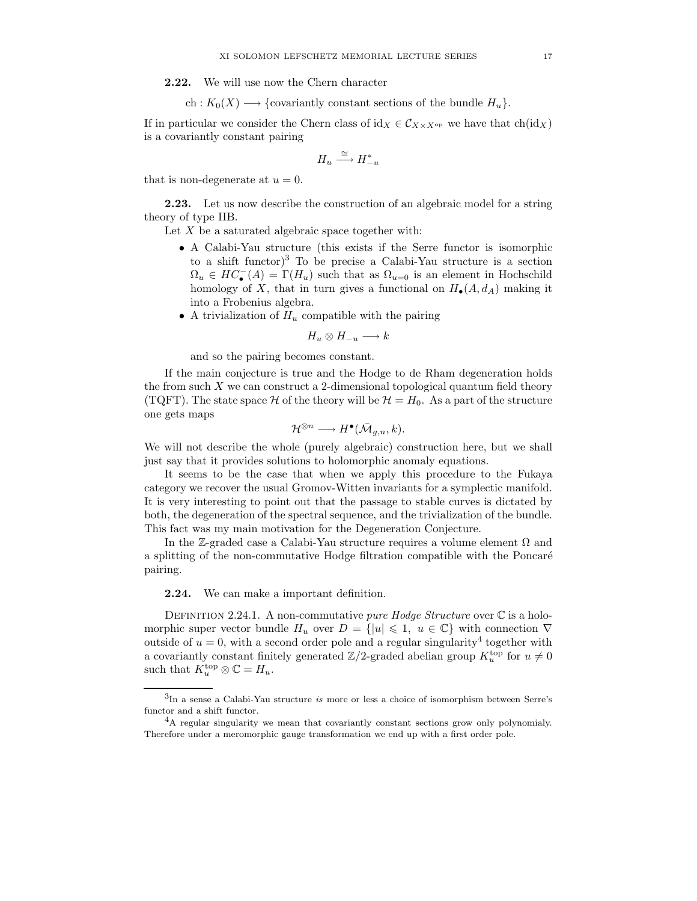2.22. We will use now the Chern character

ch :  $K_0(X) \longrightarrow \{\text{covariantly constant sections of the bundle } H_u\}.$ 

If in particular we consider the Chern class of  $\mathrm{id}_X \in \mathcal{C}_{X \times X^{\mathrm{op}}}$  we have that  $\mathrm{ch}(\mathrm{id}_X)$ is a covariantly constant pairing

$$
H_u \stackrel{\cong}{\longrightarrow} H_{-u}^*
$$

that is non-degenerate at  $u = 0$ .

**2.23.** Let us now describe the construction of an algebraic model for a string theory of type IIB.

Let  $X$  be a saturated algebraic space together with:

- A Calabi-Yau structure (this exists if the Serre functor is isomorphic to a shift functor)<sup>3</sup> To be precise a Calabi-Yau structure is a section  $\Omega_u \in HC_{\bullet}^{-}(A) = \Gamma(H_u)$  such that as  $\Omega_{u=0}$  is an element in Hochschild homology of X, that in turn gives a functional on  $H_{\bullet}(A, d_A)$  making it into a Frobenius algebra.
- A trivialization of  $H_u$  compatible with the pairing

$$
H_u \otimes H_{-u} \longrightarrow k
$$

and so the pairing becomes constant.

If the main conjecture is true and the Hodge to de Rham degeneration holds the from such  $X$  we can construct a 2-dimensional topological quantum field theory (TQFT). The state space  $\mathcal H$  of the theory will be  $\mathcal H = H_0$ . As a part of the structure one gets maps

$$
\mathcal{H}^{\otimes n} \longrightarrow H^{\bullet}(\bar{\mathcal{M}}_{g,n},k).
$$

We will not describe the whole (purely algebraic) construction here, but we shall just say that it provides solutions to holomorphic anomaly equations.

It seems to be the case that when we apply this procedure to the Fukaya category we recover the usual Gromov-Witten invariants for a symplectic manifold. It is very interesting to point out that the passage to stable curves is dictated by both, the degeneration of the spectral sequence, and the trivialization of the bundle. This fact was my main motivation for the Degeneration Conjecture.

In the Z-graded case a Calabi-Yau structure requires a volume element  $\Omega$  and a splitting of the non-commutative Hodge filtration compatible with the Poncaré pairing.

2.24. We can make a important definition.

DEFINITION 2.24.1. A non-commutative *pure Hodge Structure* over  $\mathbb C$  is a holomorphic super vector bundle  $H_u$  over  $D = \{ |u| \leq 1, u \in \mathbb{C} \}$  with connection  $\nabla$ outside of  $u = 0$ , with a second order pole and a regular singularity<sup>4</sup> together with a covariantly constant finitely generated  $\mathbb{Z}/2$ -graded abelian group  $K_u^{\text{top}}$  for  $u \neq 0$ such that  $K_u^{\text{top}} \otimes \mathbb{C} = H_u$ .

<sup>3</sup> In a sense a Calabi-Yau structure is more or less a choice of isomorphism between Serre's functor and a shift functor.

<sup>4</sup>A regular singularity we mean that covariantly constant sections grow only polynomialy. Therefore under a meromorphic gauge transformation we end up with a first order pole.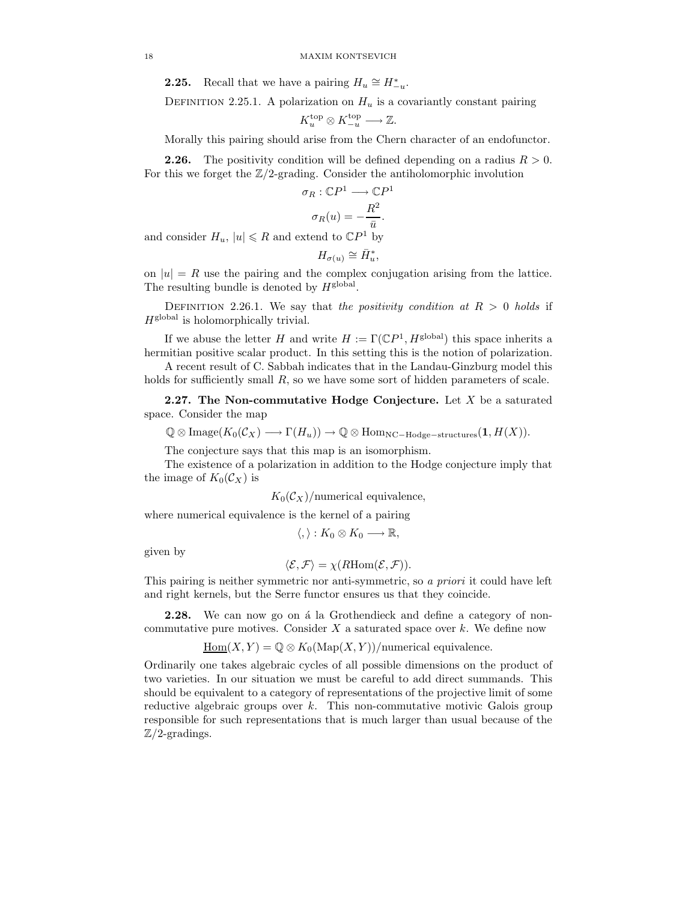**2.25.** Recall that we have a pairing  $H_u \cong H_{-u}^*$ .

DEFINITION 2.25.1. A polarization on  $H_u$  is a covariantly constant pairing

$$
K_u^{\text{top}} \otimes K_{-u}^{\text{top}} \longrightarrow \mathbb{Z}.
$$

Morally this pairing should arise from the Chern character of an endofunctor.

**2.26.** The positivity condition will be defined depending on a radius  $R > 0$ . For this we forget the  $\mathbb{Z}/2$ -grading. Consider the antiholomorphic involution

$$
\sigma_R : \mathbb{C}P^1 \longrightarrow \mathbb{C}P^1
$$

$$
\sigma_R(u) = -\frac{R^2}{\bar{u}}.
$$

and consider  $H_u$ ,  $|u| \le R$  and extend to  $\mathbb{C}P^1$  by

$$
H_{\sigma(u)} \cong \bar{H}_u^*,
$$

on  $|u| = R$  use the pairing and the complex conjugation arising from the lattice. The resulting bundle is denoted by  $H^{\text{global}}$ .

DEFINITION 2.26.1. We say that the positivity condition at  $R > 0$  holds if  $H<sup>global</sup>$  is holomorphically trivial.

If we abuse the letter H and write  $H := \Gamma(\mathbb{C}P^1, H^{\text{global}})$  this space inherits a hermitian positive scalar product. In this setting this is the notion of polarization.

A recent result of C. Sabbah indicates that in the Landau-Ginzburg model this holds for sufficiently small  $R$ , so we have some sort of hidden parameters of scale.

**2.27.** The Non-commutative Hodge Conjecture. Let  $X$  be a saturated space. Consider the map

$$
\mathbb{Q} \otimes \text{Image}(K_0(\mathcal{C}_X) \longrightarrow \Gamma(H_u)) \longrightarrow \mathbb{Q} \otimes \text{Hom}_{\text{NC-Hodge-structures}}(\mathbf{1}, H(X)).
$$

The conjecture says that this map is an isomorphism.

The existence of a polarization in addition to the Hodge conjecture imply that the image of  $K_0(\mathcal{C}_X)$  is

 $K_0(\mathcal{C}_X)$ /numerical equivalence,

where numerical equivalence is the kernel of a pairing

$$
\langle,\rangle:K_0\otimes K_0\longrightarrow\mathbb{R},
$$

given by

$$
\langle \mathcal{E}, \mathcal{F} \rangle = \chi(RHom(\mathcal{E}, \mathcal{F})).
$$

This pairing is neither symmetric nor anti-symmetric, so a priori it could have left and right kernels, but the Serre functor ensures us that they coincide.

**2.28.** We can now go on a la Grothendieck and define a category of noncommutative pure motives. Consider  $X$  a saturated space over  $k$ . We define now

 $\underline{\mathrm{Hom}}(X, Y) = \mathbb{Q} \otimes K_0(\mathrm{Map}(X, Y))/\text{numerical equivalence}.$ 

Ordinarily one takes algebraic cycles of all possible dimensions on the product of two varieties. In our situation we must be careful to add direct summands. This should be equivalent to a category of representations of the projective limit of some reductive algebraic groups over  $k$ . This non-commutative motivic Galois group responsible for such representations that is much larger than usual because of the  $\mathbb{Z}/2$ -gradings.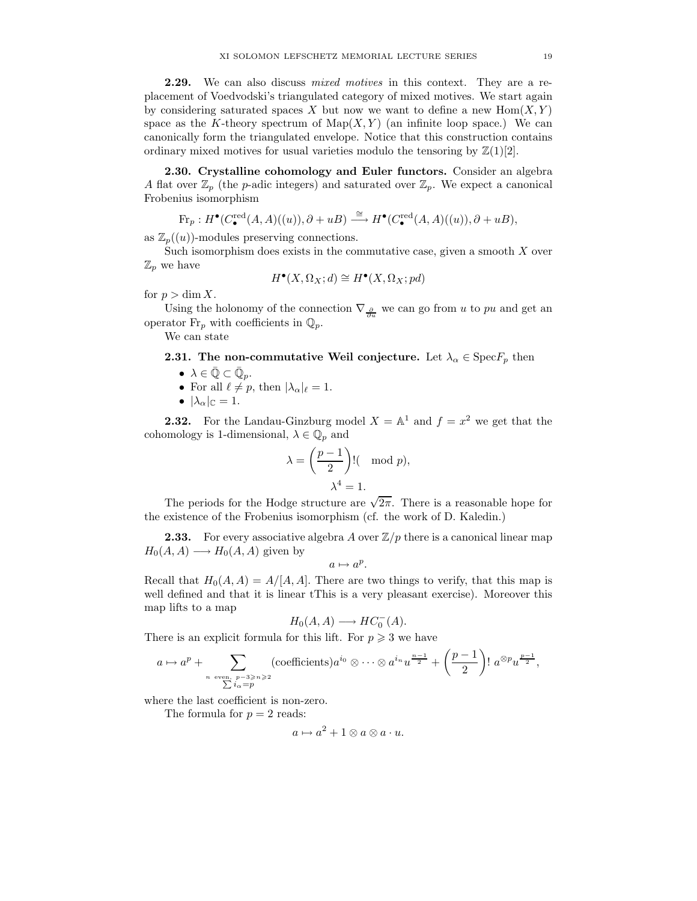2.29. We can also discuss *mixed motives* in this context. They are a replacement of Voedvodski's triangulated category of mixed motives. We start again by considering saturated spaces X but now we want to define a new  $\text{Hom}(X, Y)$ space as the K-theory spectrum of  $\text{Map}(X, Y)$  (an infinite loop space.) We can canonically form the triangulated envelope. Notice that this construction contains ordinary mixed motives for usual varieties modulo the tensoring by  $\mathbb{Z}(1)[2]$ .

2.30. Crystalline cohomology and Euler functors. Consider an algebra A flat over  $\mathbb{Z}_p$  (the *p*-adic integers) and saturated over  $\mathbb{Z}_p$ . We expect a canonical Frobenius isomorphism

$$
{\rm Fr}_p: H^\bullet(C^{\rm red}_\bullet(A,A)((u)),\partial+uB)\stackrel{\cong}{\longrightarrow} H^\bullet(C^{\rm red}_\bullet(A,A)((u)),\partial+uB),
$$

as  $\mathbb{Z}_p((u))$ -modules preserving connections.

Such isomorphism does exists in the commutative case, given a smooth  $X$  over  $\mathbb{Z}_p$  we have

$$
H^{\bullet}(X,\Omega_X;d) \cong H^{\bullet}(X,\Omega_X;pd)
$$

for  $p > \dim X$ .

Using the holonomy of the connection  $\nabla_{\frac{\partial}{\partial u}}$  we can go from u to pu and get an operator  $\mathrm{Fr}_p$  with coefficients in  $\mathbb{Q}_p.$ 

We can state

# **2.31. The non-commutative Weil conjecture.** Let  $\lambda_{\alpha} \in \text{Spec} F_p$  then

- $\bullet\ \lambda\in\bar{\mathbb{Q}}\subset\bar{\mathbb{Q}}_p.$
- For all  $\ell \neq p$ , then  $|\lambda_{\alpha}|_{\ell} = 1$ .
- $|\lambda_{\alpha}|_{\mathbb{C}} = 1.$

**2.32.** For the Landau-Ginzburg model  $X = \mathbb{A}^1$  and  $f = x^2$  we get that the cohomology is 1-dimensional,  $\lambda \in \mathbb{Q}_p$  and

$$
\lambda = \left(\frac{p-1}{2}\right)! \text{ (mod } p),
$$
  

$$
\lambda^4 = 1.
$$

The periods for the Hodge structure are  $\sqrt{2\pi}$ . There is a reasonable hope for the existence of the Frobenius isomorphism (cf. the work of D. Kaledin.)

**2.33.** For every associative algebra A over  $\mathbb{Z}/p$  there is a canonical linear map  $H_0(A, A) \longrightarrow H_0(A, A)$  given by

$$
a\mapsto a^p.
$$

Recall that  $H_0(A, A) = A/[A, A]$ . There are two things to verify, that this map is well defined and that it is linear tThis is a very pleasant exercise). Moreover this map lifts to a map

$$
H_0(A, A) \longrightarrow HC_0^-(A).
$$

There is an explicit formula for this lift. For  $p \geqslant 3$  we have

$$
a \mapsto a^p + \sum_{\substack{n \text{ even, } p-3 \ge n \ge 2 \\ \sum i_{\alpha}=p}} (\text{coefficients}) a^{i_0} \otimes \cdots \otimes a^{i_n} u^{\frac{n-1}{2}} + \left(\frac{p-1}{2}\right)! a^{\otimes p} u^{\frac{p-1}{2}},
$$

where the last coefficient is non-zero.

The formula for  $p = 2$  reads:

$$
a \mapsto a^2 + 1 \otimes a \otimes a \cdot u.
$$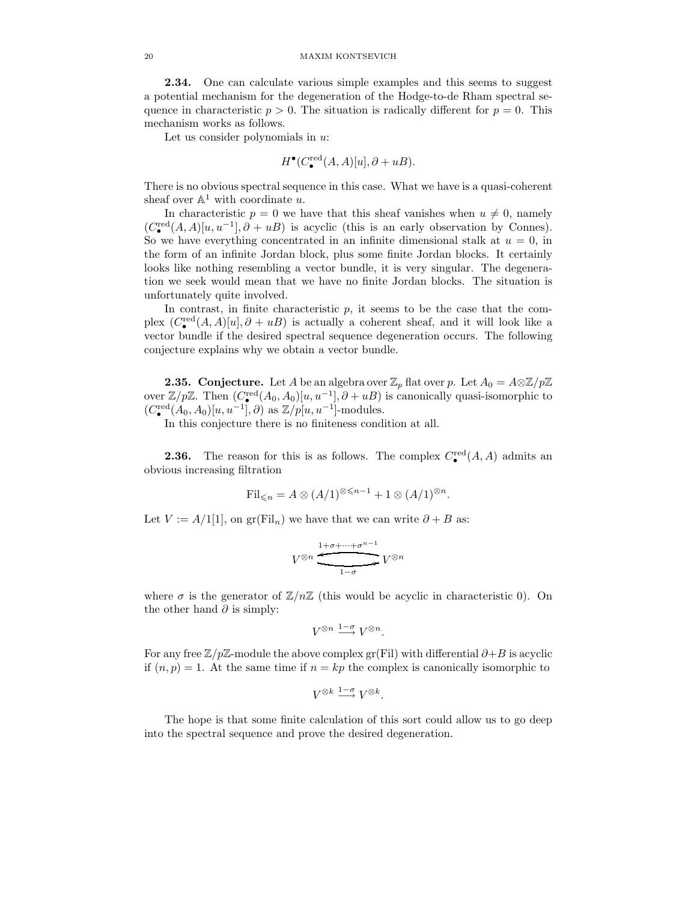#### 20 MAXIM KONTSEVICH

2.34. One can calculate various simple examples and this seems to suggest a potential mechanism for the degeneration of the Hodge-to-de Rham spectral sequence in characteristic  $p > 0$ . The situation is radically different for  $p = 0$ . This mechanism works as follows.

Let us consider polynomials in  $u$ :

$$
H^{\bullet}(C_{\bullet}^{\text{red}}(A, A)[u], \partial + uB).
$$

There is no obvious spectral sequence in this case. What we have is a quasi-coherent sheaf over  $\mathbb{A}^1$  with coordinate u.

In characteristic  $p = 0$  we have that this sheaf vanishes when  $u \neq 0$ , namely  $(C_{\bullet}^{\text{red}}(A, A)[u, u^{-1}], \partial + uB)$  is acyclic (this is an early observation by Connes). So we have everything concentrated in an infinite dimensional stalk at  $u = 0$ , in the form of an infinite Jordan block, plus some finite Jordan blocks. It certainly looks like nothing resembling a vector bundle, it is very singular. The degeneration we seek would mean that we have no finite Jordan blocks. The situation is unfortunately quite involved.

In contrast, in finite characteristic  $p$ , it seems to be the case that the complex  $(C_{\bullet}^{\text{red}}(A, A)[u], \partial + uB)$  is actually a coherent sheaf, and it will look like a vector bundle if the desired spectral sequence degeneration occurs. The following conjecture explains why we obtain a vector bundle.

**2.35. Conjecture.** Let A be an algebra over  $\mathbb{Z}_p$  flat over p. Let  $A_0 = A \otimes \mathbb{Z}/p\mathbb{Z}$ over  $\mathbb{Z}/p\mathbb{Z}$ . Then  $(C_{\bullet}^{\text{red}}(A_0, A_0)[u, u^{-1}], \partial + uB)$  is canonically quasi-isomorphic to  $(C_{\bullet}^{\text{red}}(A_0, A_0)[u, u^{-1}], \partial)$  as  $\mathbb{Z}/p[u, u^{-1}]$ -modules.

In this conjecture there is no finiteness condition at all.

**2.36.** The reason for this is as follows. The complex  $C_{\bullet}^{\text{red}}(A, A)$  admits an obvious increasing filtration

$$
\mathrm{Fil}_{\leqslant n} = A \otimes (A/1)^{\otimes \leqslant n-1} + 1 \otimes (A/1)^{\otimes n}.
$$

Let  $V := A/1[1]$ , on gr(Fil<sub>n</sub>) we have that we can write  $\partial + B$  as:

$$
V^{\otimes n} \xrightarrow{\underbrace{1+\sigma+\cdots+\sigma^{n-1}}}_{1-\sigma} V^{\otimes n}
$$

where  $\sigma$  is the generator of  $\mathbb{Z}/n\mathbb{Z}$  (this would be acyclic in characteristic 0). On the other hand  $\partial$  is simply:

$$
V^{\otimes n} \xrightarrow{1-\sigma} V^{\otimes n}.
$$

For any free  $\mathbb{Z}/p\mathbb{Z}$ -module the above complex gr(Fil) with differential  $\partial + B$  is acyclic if  $(n, p) = 1$ . At the same time if  $n = kp$  the complex is canonically isomorphic to

$$
V^{\otimes k} \xrightarrow{1-\sigma} V^{\otimes k}.
$$

The hope is that some finite calculation of this sort could allow us to go deep into the spectral sequence and prove the desired degeneration.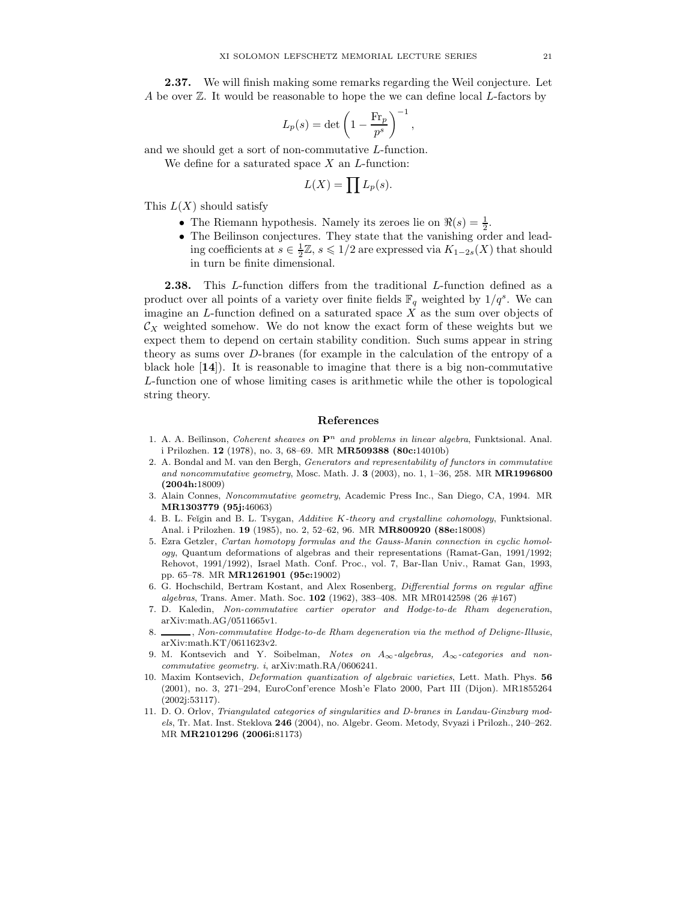2.37. We will finish making some remarks regarding the Weil conjecture. Let A be over  $\mathbb Z$ . It would be reasonable to hope the we can define local L-factors by

$$
L_p(s) = \det \left( 1 - \frac{\text{Fr}_p}{p^s} \right)^{-1},
$$

and we should get a sort of non-commutative L-function. We define for a saturated space  $X$  an  $L$ -function:

$$
L(X) = \prod L_p(s).
$$

This  $L(X)$  should satisfy

- The Riemann hypothesis. Namely its zeroes lie on  $\Re(s) = \frac{1}{2}$ .
- The Beilinson conjectures. They state that the vanishing order and leading coefficients at  $s \in \frac{1}{2}\mathbb{Z}, s \leq 1/2$  are expressed via  $K_{1-2s}(X)$  that should in turn be finite dimensional.

2.38. This L-function differs from the traditional L-function defined as a product over all points of a variety over finite fields  $\mathbb{F}_q$  weighted by  $1/q^s$ . We can imagine an  $L$ -function defined on a saturated space  $X$  as the sum over objects of  $\mathcal{C}_X$  weighted somehow. We do not know the exact form of these weights but we expect them to depend on certain stability condition. Such sums appear in string theory as sums over D-branes (for example in the calculation of the entropy of a black hole [14]). It is reasonable to imagine that there is a big non-commutative L-function one of whose limiting cases is arithmetic while the other is topological string theory.

## References

- 1. A. A. Beĭlinson, Coherent sheaves on  $\mathbf{P}^n$  and problems in linear algebra, Funktsional. Anal. i Prilozhen. 12 (1978), no. 3, 68–69. MR MR509388 (80c:14010b)
- 2. A. Bondal and M. van den Bergh, Generators and representability of functors in commutative and noncommutative geometry, Mosc. Math. J.  $3$  (2003), no. 1, 1–36, 258. MR **MR1996800** (2004h:18009)
- 3. Alain Connes, Noncommutative geometry, Academic Press Inc., San Diego, CA, 1994. MR MR1303779 (95j:46063)
- 4. B. L. Feĭgin and B. L. Tsygan, Additive K-theory and crystalline cohomology, Funktsional. Anal. i Prilozhen. 19 (1985), no. 2, 52–62, 96. MR MR800920 (88e:18008)
- 5. Ezra Getzler, Cartan homotopy formulas and the Gauss-Manin connection in cyclic homology, Quantum deformations of algebras and their representations (Ramat-Gan, 1991/1992; Rehovot, 1991/1992), Israel Math. Conf. Proc., vol. 7, Bar-Ilan Univ., Ramat Gan, 1993, pp. 65–78. MR MR1261901 (95c:19002)
- 6. G. Hochschild, Bertram Kostant, and Alex Rosenberg, Differential forms on regular affine algebras, Trans. Amer. Math. Soc. 102 (1962), 383-408. MR MR0142598 (26  $\#167$ )
- 7. D. Kaledin, Non-commutative cartier operator and Hodge-to-de Rham degeneration, arXiv:math.AG/0511665v1.
- 8. S. S. Mon-commutative Hodge-to-de Rham degeneration via the method of Deligne-Illusie, arXiv:math.KT/0611623v2.
- 9. M. Kontsevich and Y. Soibelman, Notes on  $A_{\infty}$ -algebras,  $A_{\infty}$ -categories and noncommutative geometry. i, arXiv:math.RA/0606241.
- 10. Maxim Kontsevich, Deformation quantization of algebraic varieties, Lett. Math. Phys. 56 (2001), no. 3, 271–294, EuroConf'erence Mosh'e Flato 2000, Part III (Dijon). MR1855264 (2002j:53117).
- 11. D. O. Orlov, Triangulated categories of singularities and D-branes in Landau-Ginzburg models, Tr. Mat. Inst. Steklova 246 (2004), no. Algebr. Geom. Metody, Svyazi i Prilozh., 240–262. MR MR2101296 (2006i:81173)